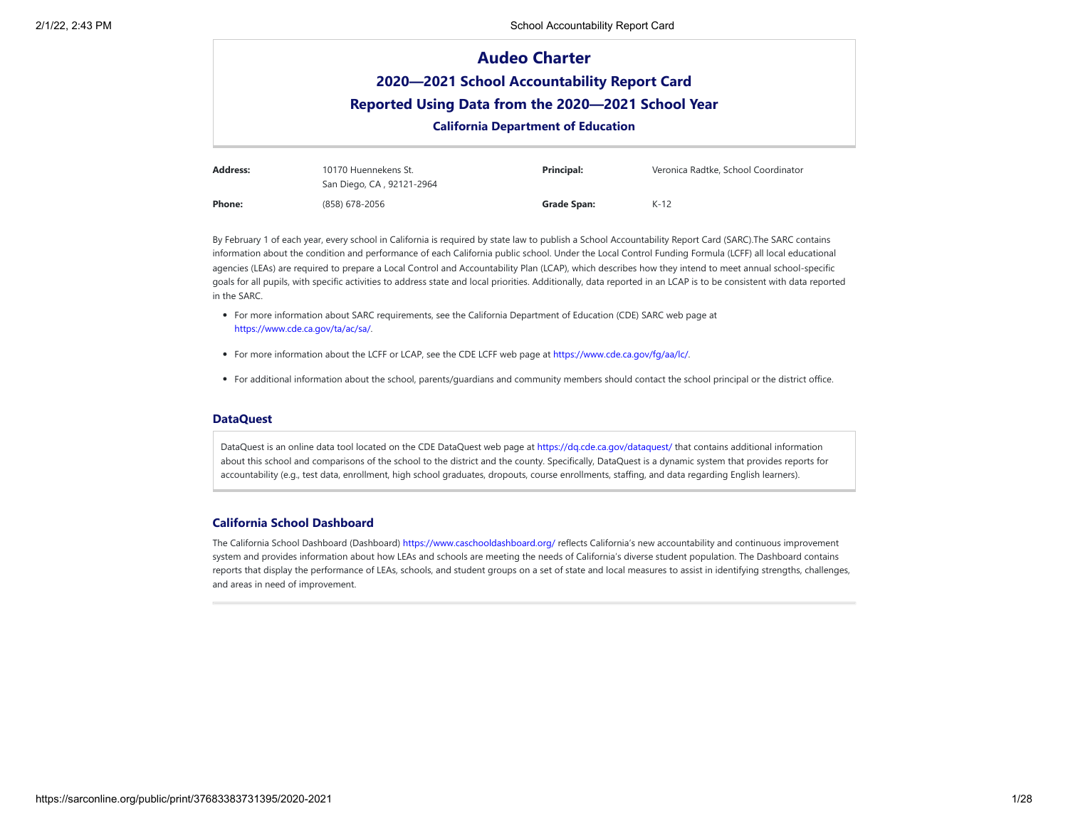|                 |                                              | <b>Audeo Charter</b>                               |                                     |  |  |  |
|-----------------|----------------------------------------------|----------------------------------------------------|-------------------------------------|--|--|--|
|                 | 2020-2021 School Accountability Report Card  |                                                    |                                     |  |  |  |
|                 |                                              | Reported Using Data from the 2020-2021 School Year |                                     |  |  |  |
|                 | <b>California Department of Education</b>    |                                                    |                                     |  |  |  |
| <b>Address:</b> | 10170 Huennekens St.<br>____________________ | Principal:                                         | Veronica Radtke, School Coordinator |  |  |  |

|        | San Diego, CA, 92121-2964 |             |        |
|--------|---------------------------|-------------|--------|
| Phone: | (858) 678-2056            | Grade Span: | $K-12$ |

By February 1 of each year, every school in California is required by state law to publish a School Accountability Report Card (SARC).The SARC contains information about the condition and performance of each California public school. Under the Local Control Funding Formula (LCFF) all local educational agencies (LEAs) are required to prepare a Local Control and Accountability Plan (LCAP), which describes how they intend to meet annual school-specific goals for all pupils, with specific activities to address state and local priorities. Additionally, data reported in an LCAP is to be consistent with data reported in the SARC.

- For more information about SARC requirements, see the California Department of Education (CDE) SARC web page at <https://www.cde.ca.gov/ta/ac/sa/>.
- For more information about the LCFF or LCAP, see the CDE LCFF web page at <https://www.cde.ca.gov/fg/aa/lc/>.
- For additional information about the school, parents/guardians and community members should contact the school principal or the district office.

### **DataQuest**

DataQuest is an online data tool located on the CDE DataQuest web page at https://dg.cde.ca.gov/dataguest/ that contains additional information about this school and comparisons of the school to the district and the county. Specifically, DataQuest is a dynamic system that provides reports for accountability (e.g., test data, enrollment, high school graduates, dropouts, course enrollments, staffing, and data regarding English learners).

## **California School Dashboard**

The California School Dashboard (Dashboard) <https://www.caschooldashboard.org/> reflects California's new accountability and continuous improvement system and provides information about how LEAs and schools are meeting the needs of California's diverse student population. The Dashboard contains reports that display the performance of LEAs, schools, and student groups on a set of state and local measures to assist in identifying strengths, challenges, and areas in need of improvement.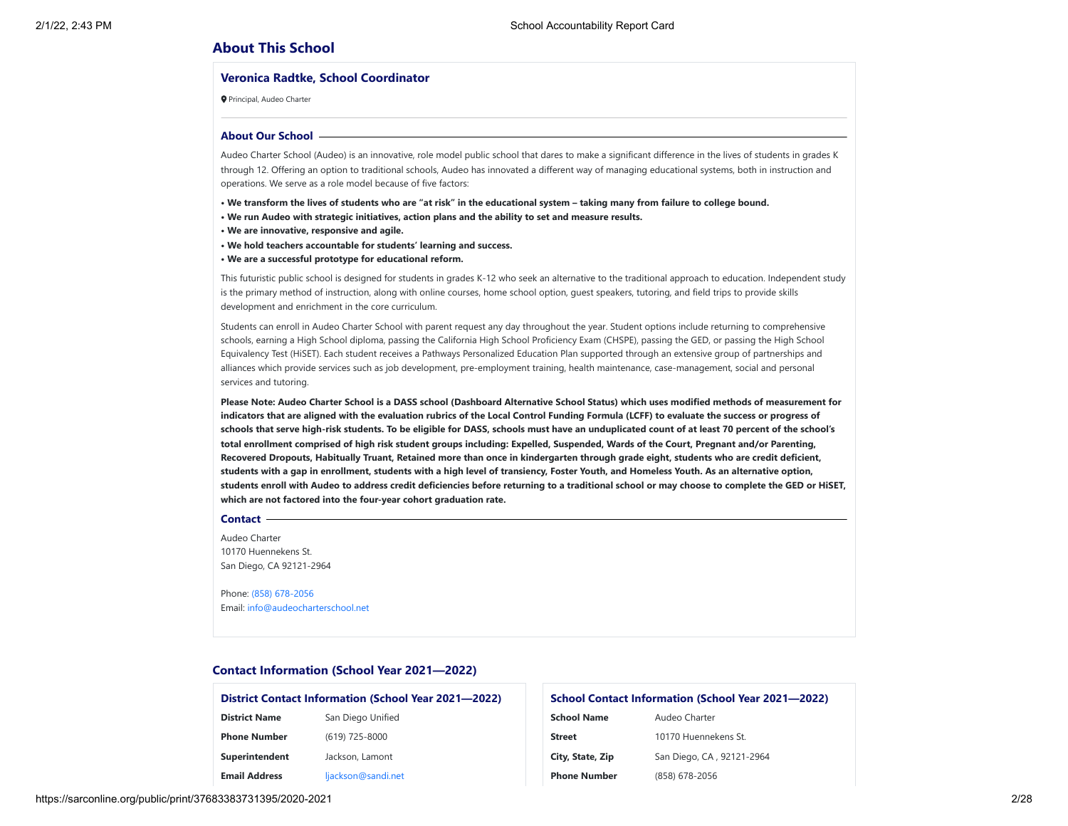## **About This School**

#### **Veronica Radtke, School Coordinator**

Principal, Audeo Charter

#### **About Our School**

Audeo Charter School (Audeo) is an innovative, role model public school that dares to make a significant difference in the lives of students in grades K through 12. Offering an option to traditional schools, Audeo has innovated a different way of managing educational systems, both in instruction and operations. We serve as a role model because of five factors:

**• We transform the lives of students who are "at risk" in the educational system – taking many from failure to college bound.**

- **We run Audeo with strategic initiatives, action plans and the ability to set and measure results.**
- **We are innovative, responsive and agile.**
- **We hold teachers accountable for students' learning and success.**
- **We are a successful prototype for educational reform.**

This futuristic public school is designed for students in grades K-12 who seek an alternative to the traditional approach to education. Independent study is the primary method of instruction, along with online courses, home school option, guest speakers, tutoring, and field trips to provide skills development and enrichment in the core curriculum.

Students can enroll in Audeo Charter School with parent request any day throughout the year. Student options include returning to comprehensive schools, earning a High School diploma, passing the California High School Proficiency Exam (CHSPE), passing the GED, or passing the High School Equivalency Test (HiSET). Each student receives a Pathways Personalized Education Plan supported through an extensive group of partnerships and alliances which provide services such as job development, pre-employment training, health maintenance, case-management, social and personal services and tutoring.

**Please Note: Audeo Charter School is a DASS school (Dashboard Alternative School Status) which uses modified methods of measurement for indicators that are aligned with the evaluation rubrics of the Local Control Funding Formula (LCFF) to evaluate the success or progress of schools that serve high-risk students. To be eligible for DASS, schools must have an unduplicated count of at least 70 percent of the school's total enrollment comprised of high risk student groups including: Expelled, Suspended, Wards of the Court, Pregnant and/or Parenting, Recovered Dropouts, Habitually Truant, Retained more than once in kindergarten through grade eight, students who are credit deficient, students with a gap in enrollment, students with a high level of transiency, Foster Youth, and Homeless Youth. As an alternative option, students enroll with Audeo to address credit deficiencies before returning to a traditional school or may choose to complete the GED or HiSET, which are not factored into the four-year cohort graduation rate.**

#### **Contact**

Audeo Charter 10170 Huennekens St. San Diego, CA 92121-2964

Phone: (858) [678-2056](tel:(858) 678-2056) Email: [info@audeocharterschool.net](mailto:info@audeocharterschool.net)

## **Contact Information (School Year 2021—2022)**

### **District Contact Information (School Year 2021—2022) District Name** San Diego Unified

| <b>PRINCIPALITY</b>  | <b>JULI DICYO OTIHICU</b> |
|----------------------|---------------------------|
| <b>Phone Number</b>  | (619) 725-8000            |
| Superintendent       | Jackson, Lamont           |
| <b>Email Address</b> | ljackson@sandi.net        |

# **School Contact Information (School Year 2021—2022) School Name Audeo Charter Street** 10170 Huennekens St. City, State, Zip<br>
San Diego, CA, 92121-2964 **Phone Number** (858) 678-2056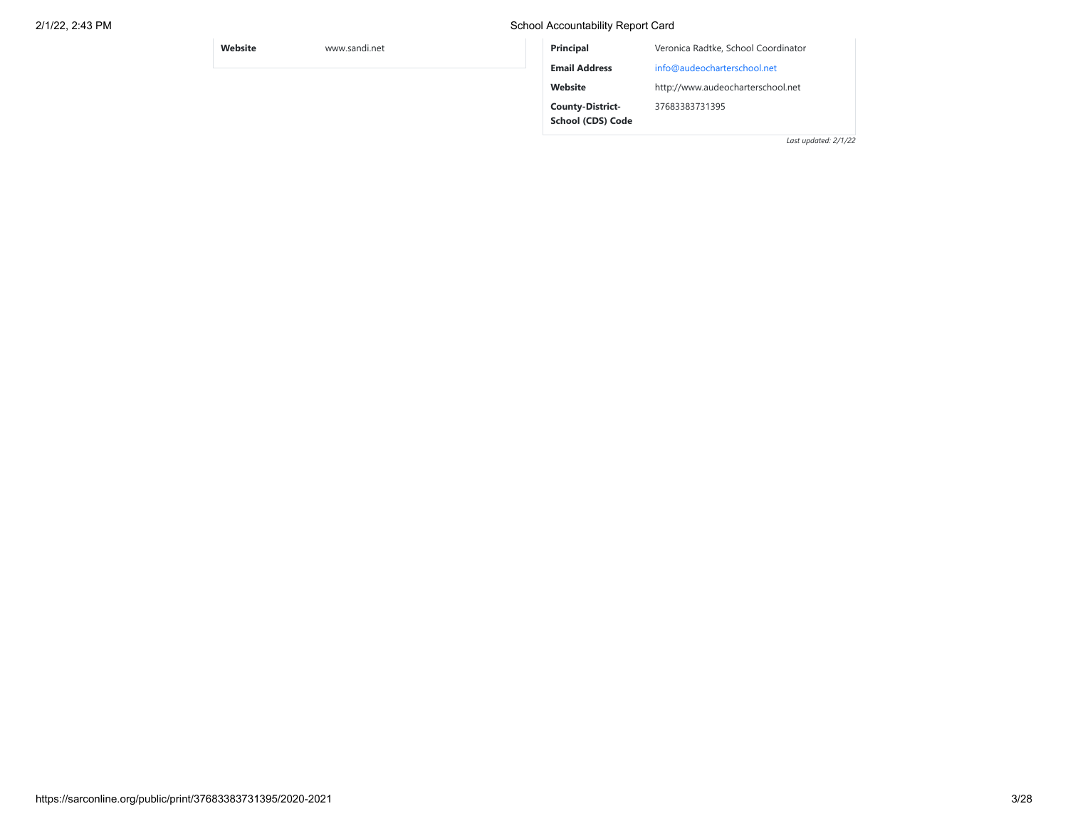## **Website** www.sandi.net **Principal** Veronica Radtke, School Coordinator **Email Address** [info@audeocharterschool.net](mailto:info@audeocharterschool.net) **Website** http://www.audeocharterschool.net **County-District-School (CDS) Code** 37683383731395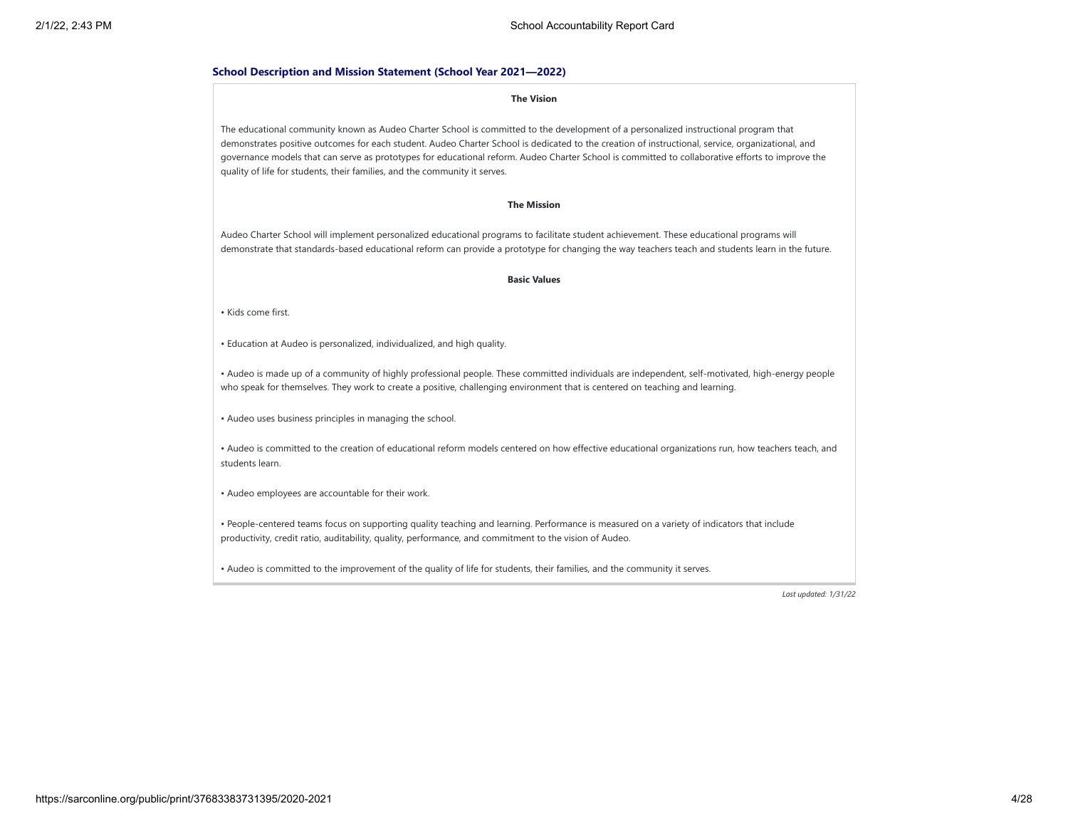#### **School Description and Mission Statement (School Year 2021—2022)**

#### **The Vision**

The educational community known as Audeo Charter School is committed to the development of a personalized instructional program that demonstrates positive outcomes for each student. Audeo Charter School is dedicated to the creation of instructional, service, organizational, and governance models that can serve as prototypes for educational reform. Audeo Charter School is committed to collaborative efforts to improve the quality of life for students, their families, and the community it serves.

#### **The Mission**

Audeo Charter School will implement personalized educational programs to facilitate student achievement. These educational programs will demonstrate that standards-based educational reform can provide a prototype for changing the way teachers teach and students learn in the future.

#### **Basic Values**

• Kids come first.

• Education at Audeo is personalized, individualized, and high quality.

• Audeo is made up of a community of highly professional people. These committed individuals are independent, self-motivated, high-energy people who speak for themselves. They work to create a positive, challenging environment that is centered on teaching and learning.

• Audeo uses business principles in managing the school.

• Audeo is committed to the creation of educational reform models centered on how effective educational organizations run, how teachers teach, and students learn.

• Audeo employees are accountable for their work.

• People-centered teams focus on supporting quality teaching and learning. Performance is measured on a variety of indicators that include productivity, credit ratio, auditability, quality, performance, and commitment to the vision of Audeo.

• Audeo is committed to the improvement of the quality of life for students, their families, and the community it serves.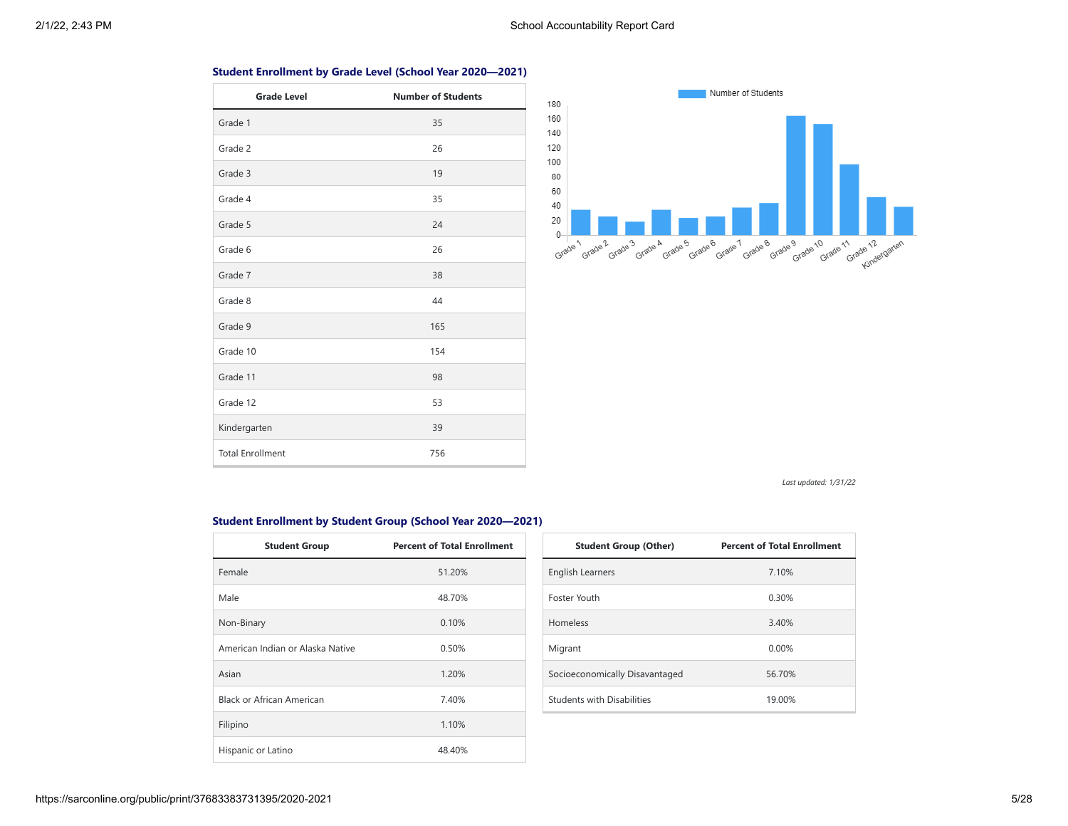## **Student Enrollment by Grade Level (School Year 2020—2021)**

| <b>Grade Level</b>      | <b>Number of Students</b> |
|-------------------------|---------------------------|
| Grade 1                 | 35                        |
| Grade 2                 | 26                        |
| Grade 3                 | 19                        |
| Grade 4                 | 35                        |
| Grade 5                 | 24                        |
| Grade 6                 | 26                        |
| Grade 7                 | 38                        |
| Grade 8                 | 44                        |
| Grade 9                 | 165                       |
| Grade 10                | 154                       |
| Grade 11                | 98                        |
| Grade 12                | 53                        |
| Kindergarten            | 39                        |
| <b>Total Enrollment</b> | 756                       |



*Last updated: 1/31/22*

## **Student Enrollment by Student Group (School Year 2020—2021)**

| <b>Student Group</b>             | <b>Percent of Total Enrollment</b> |
|----------------------------------|------------------------------------|
| Female                           | 51.20%                             |
| Male                             | 48.70%                             |
| Non-Binary                       | 0.10%                              |
| American Indian or Alaska Native | 0.50%                              |
| Asian                            | 1.20%                              |
| Black or African American        | 7.40%                              |
| Filipino                         | 1.10%                              |
| Hispanic or Latino               | 48.40%                             |

| <b>Student Group (Other)</b>      | <b>Percent of Total Enrollment</b> |
|-----------------------------------|------------------------------------|
| <b>English Learners</b>           | 7.10%                              |
| Foster Youth                      | 0.30%                              |
| Homeless                          | 3.40%                              |
| Migrant                           | $0.00\%$                           |
| Socioeconomically Disavantaged    | 56.70%                             |
| <b>Students with Disabilities</b> | 19.00%                             |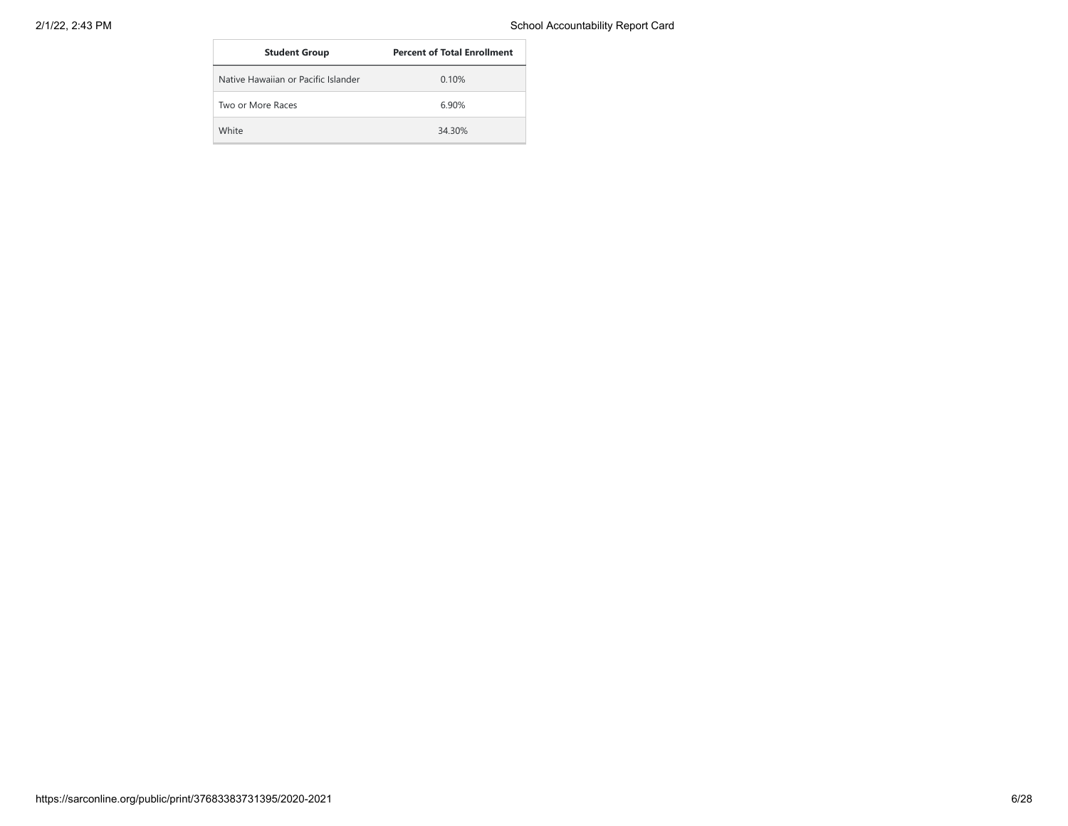| <b>Student Group</b>                | <b>Percent of Total Enrollment</b> |
|-------------------------------------|------------------------------------|
| Native Hawaiian or Pacific Islander | 0.10%                              |
| Two or More Races                   | 6.90%                              |
| White                               | 34 30%                             |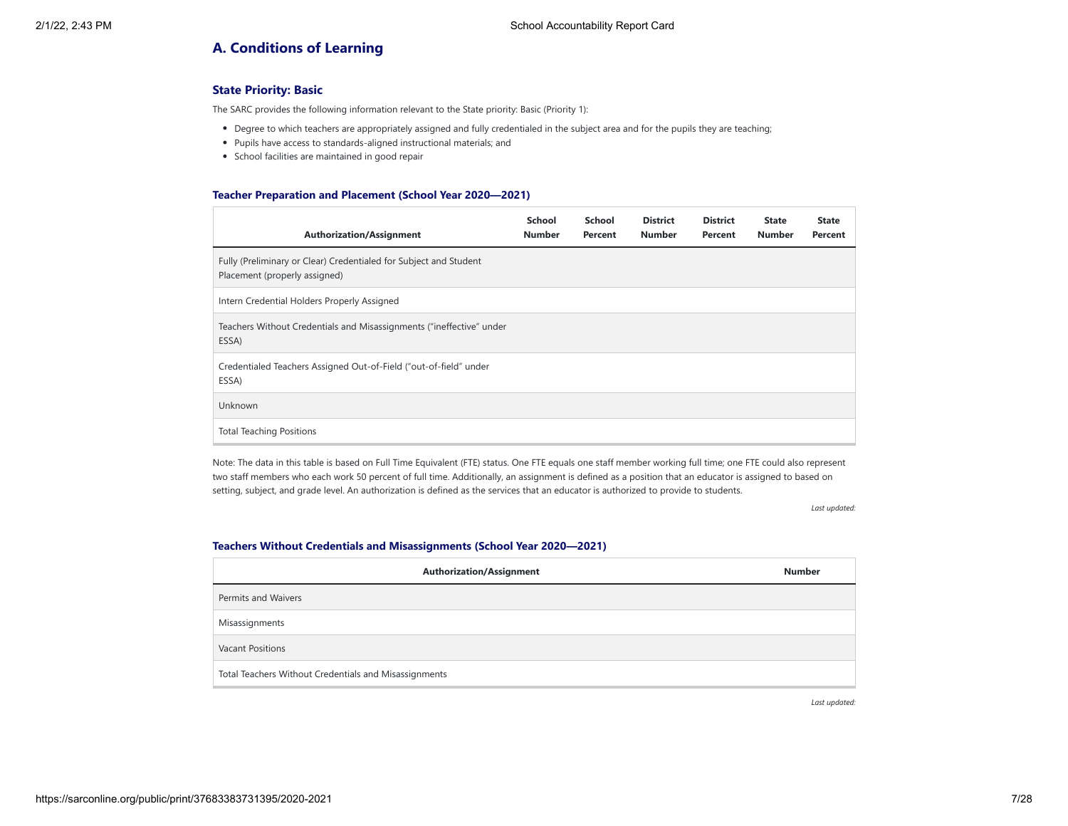# **A. Conditions of Learning**

## **State Priority: Basic**

The SARC provides the following information relevant to the State priority: Basic (Priority 1):

- Degree to which teachers are appropriately assigned and fully credentialed in the subject area and for the pupils they are teaching;
- Pupils have access to standards-aligned instructional materials; and
- School facilities are maintained in good repair

#### **Teacher Preparation and Placement (School Year 2020—2021)**

| <b>Authorization/Assignment</b>                                                                    | School<br><b>Number</b> | School<br>Percent | <b>District</b><br><b>Number</b> | <b>District</b><br>Percent | <b>State</b><br><b>Number</b> | <b>State</b><br>Percent |
|----------------------------------------------------------------------------------------------------|-------------------------|-------------------|----------------------------------|----------------------------|-------------------------------|-------------------------|
| Fully (Preliminary or Clear) Credentialed for Subject and Student<br>Placement (properly assigned) |                         |                   |                                  |                            |                               |                         |
| Intern Credential Holders Properly Assigned                                                        |                         |                   |                                  |                            |                               |                         |
| Teachers Without Credentials and Misassignments ("ineffective" under<br>ESSA)                      |                         |                   |                                  |                            |                               |                         |
| Credentialed Teachers Assigned Out-of-Field ("out-of-field" under<br>ESSA)                         |                         |                   |                                  |                            |                               |                         |
| Unknown                                                                                            |                         |                   |                                  |                            |                               |                         |
| <b>Total Teaching Positions</b>                                                                    |                         |                   |                                  |                            |                               |                         |

Note: The data in this table is based on Full Time Equivalent (FTE) status. One FTE equals one staff member working full time; one FTE could also represent two staff members who each work 50 percent of full time. Additionally, an assignment is defined as a position that an educator is assigned to based on setting, subject, and grade level. An authorization is defined as the services that an educator is authorized to provide to students.

*Last updated:*

#### **Teachers Without Credentials and Misassignments (School Year 2020—2021)**

| <b>Authorization/Assignment</b>                       | <b>Number</b> |
|-------------------------------------------------------|---------------|
| Permits and Waivers                                   |               |
| Misassignments                                        |               |
| <b>Vacant Positions</b>                               |               |
| Total Teachers Without Credentials and Misassignments |               |

*Last updated:*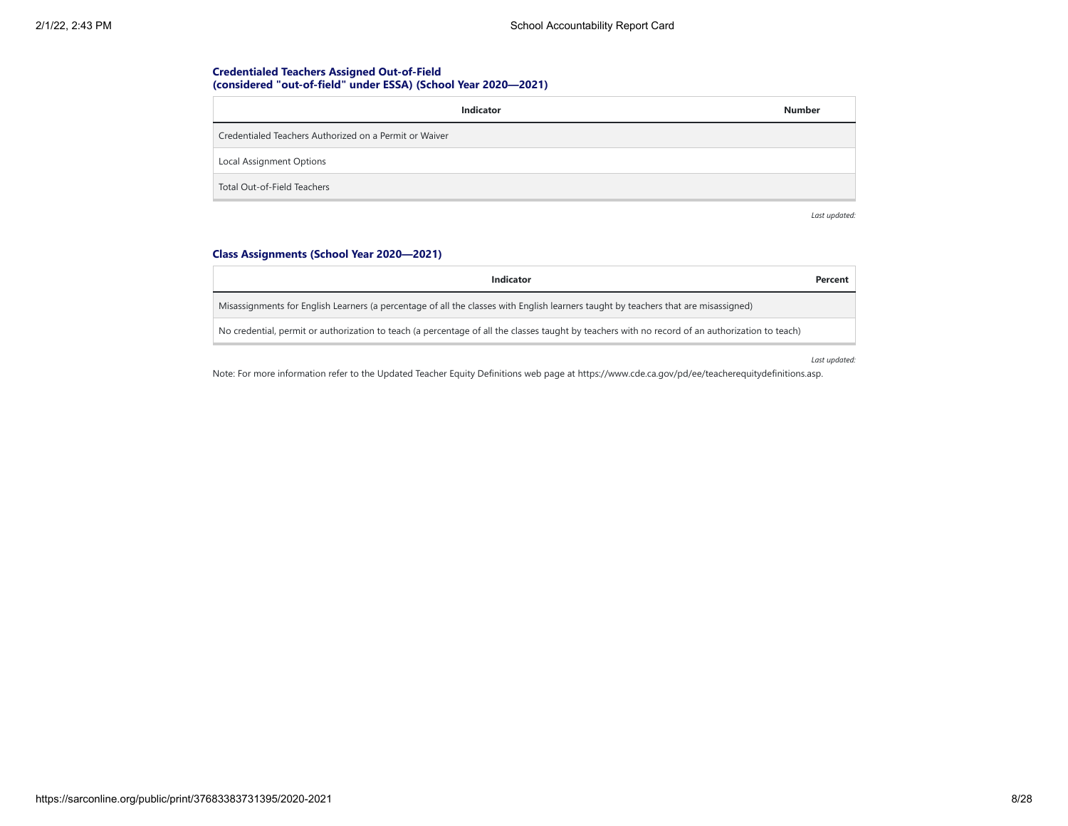## **Credentialed Teachers Assigned Out-of-Field (considered "out-of-field" under ESSA) (School Year 2020—2021)**

| Indicator                                              | <b>Number</b> |
|--------------------------------------------------------|---------------|
| Credentialed Teachers Authorized on a Permit or Waiver |               |
| Local Assignment Options                               |               |
| Total Out-of-Field Teachers                            |               |

*Last updated:*

## **Class Assignments (School Year 2020—2021)**

| Indicator                                                                                                                                        | Percent |
|--------------------------------------------------------------------------------------------------------------------------------------------------|---------|
| Misassignments for English Learners (a percentage of all the classes with English learners taught by teachers that are misassigned)              |         |
| No credential, permit or authorization to teach (a percentage of all the classes taught by teachers with no record of an authorization to teach) |         |

*Last updated:*

Note: For more information refer to the Updated Teacher Equity Definitions web page at https://www.cde.ca.gov/pd/ee/teacherequitydefinitions.asp.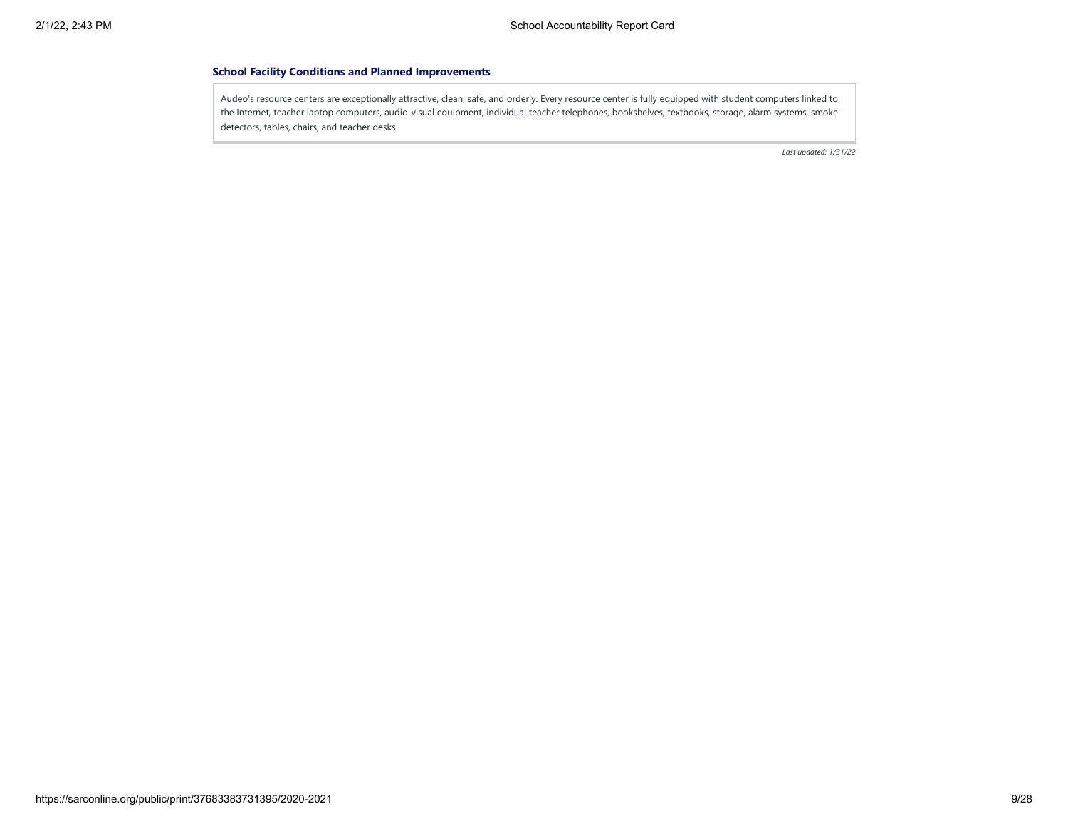## **School Facility Conditions and Planned Improvements**

Audeo's resource centers are exceptionally attractive, clean, safe, and orderly. Every resource center is fully equipped with student computers linked to the Internet, teacher laptop computers, audio-visual equipment, individual teacher telephones, bookshelves, textbooks, storage, alarm systems, smoke detectors, tables, chairs, and teacher desks.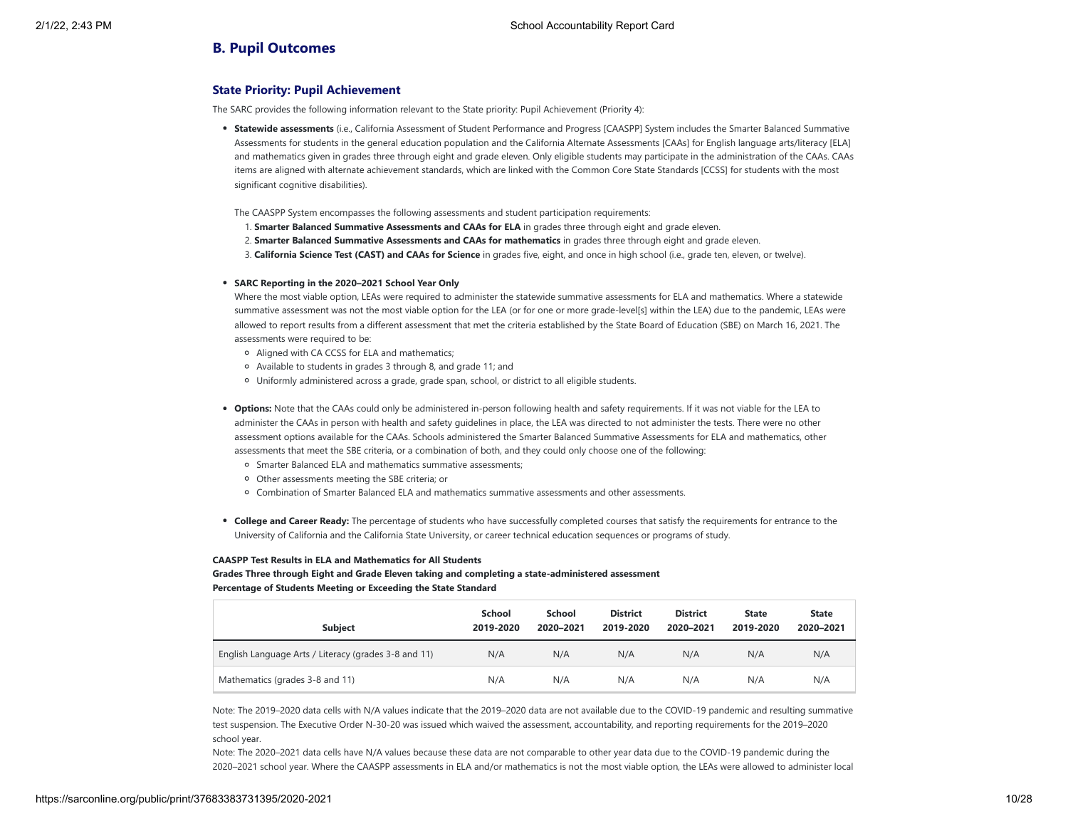## **B. Pupil Outcomes**

## **State Priority: Pupil Achievement**

The SARC provides the following information relevant to the State priority: Pupil Achievement (Priority 4):

- **Statewide assessments** (i.e., California Assessment of Student Performance and Progress [CAASPP] System includes the Smarter Balanced Summative Assessments for students in the general education population and the California Alternate Assessments [CAAs] for English language arts/literacy [ELA] and mathematics given in grades three through eight and grade eleven. Only eligible students may participate in the administration of the CAAs. CAAs items are aligned with alternate achievement standards, which are linked with the Common Core State Standards [CCSS] for students with the most significant cognitive disabilities).
- The CAASPP System encompasses the following assessments and student participation requirements:
- 1. **Smarter Balanced Summative Assessments and CAAs for ELA** in grades three through eight and grade eleven.
- 2. **Smarter Balanced Summative Assessments and CAAs for mathematics** in grades three through eight and grade eleven.
- 3. **California Science Test (CAST) and CAAs for Science** in grades five, eight, and once in high school (i.e., grade ten, eleven, or twelve).

#### **SARC Reporting in the 2020–2021 School Year Only**

Where the most viable option, LEAs were required to administer the statewide summative assessments for ELA and mathematics. Where a statewide summative assessment was not the most viable option for the LEA (or for one or more grade-level[s] within the LEA) due to the pandemic, LEAs were allowed to report results from a different assessment that met the criteria established by the State Board of Education (SBE) on March 16, 2021. The assessments were required to be:

- Aligned with CA CCSS for ELA and mathematics;
- Available to students in grades 3 through 8, and grade 11; and
- Uniformly administered across a grade, grade span, school, or district to all eligible students.
- **Options:** Note that the CAAs could only be administered in-person following health and safety requirements. If it was not viable for the LEA to administer the CAAs in person with health and safety guidelines in place, the LEA was directed to not administer the tests. There were no other assessment options available for the CAAs. Schools administered the Smarter Balanced Summative Assessments for ELA and mathematics, other assessments that meet the SBE criteria, or a combination of both, and they could only choose one of the following:
	- Smarter Balanced ELA and mathematics summative assessments;
	- Other assessments meeting the SBE criteria; or
	- Combination of Smarter Balanced ELA and mathematics summative assessments and other assessments.
- **College and Career Ready:** The percentage of students who have successfully completed courses that satisfy the requirements for entrance to the University of California and the California State University, or career technical education sequences or programs of study.

#### **CAASPP Test Results in ELA and Mathematics for All Students**

**Grades Three through Eight and Grade Eleven taking and completing a state-administered assessment Percentage of Students Meeting or Exceeding the State Standard**

| <b>Subject</b>                                       | <b>School</b><br>2019-2020 | <b>School</b><br>2020-2021 | <b>District</b><br>2019-2020 | <b>District</b><br>2020-2021 | <b>State</b><br>2019-2020 | <b>State</b><br>2020-2021 |
|------------------------------------------------------|----------------------------|----------------------------|------------------------------|------------------------------|---------------------------|---------------------------|
| English Language Arts / Literacy (grades 3-8 and 11) | N/A                        | N/A                        | N/A                          | N/A                          | N/A                       | N/A                       |
| Mathematics (grades 3-8 and 11)                      | N/A                        | N/A                        | N/A                          | N/A                          | N/A                       | N/A                       |

Note: The 2019–2020 data cells with N/A values indicate that the 2019–2020 data are not available due to the COVID-19 pandemic and resulting summative test suspension. The Executive Order N-30-20 was issued which waived the assessment, accountability, and reporting requirements for the 2019–2020 school year.

Note: The 2020–2021 data cells have N/A values because these data are not comparable to other year data due to the COVID-19 pandemic during the 2020–2021 school year. Where the CAASPP assessments in ELA and/or mathematics is not the most viable option, the LEAs were allowed to administer local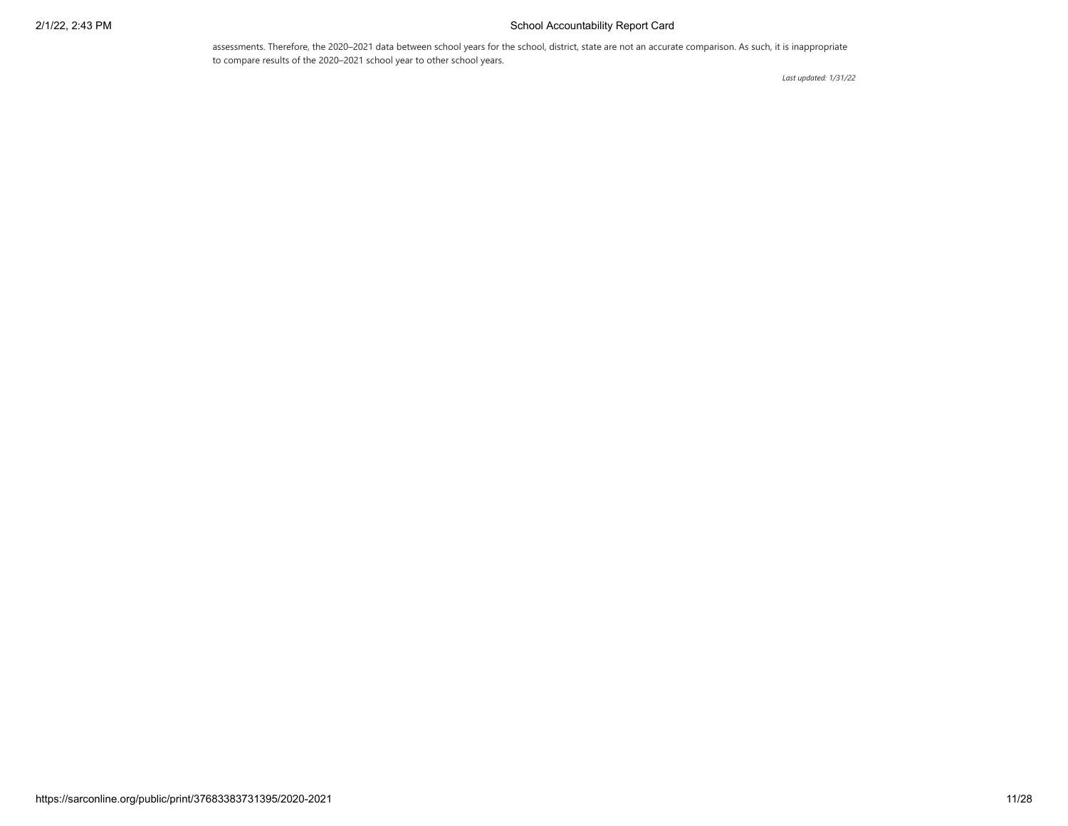## 2/1/22, 2:43 PM School Accountability Report Card

assessments. Therefore, the 2020–2021 data between school years for the school, district, state are not an accurate comparison. As such, it is inappropriate to compare results of the 2020–2021 school year to other school years.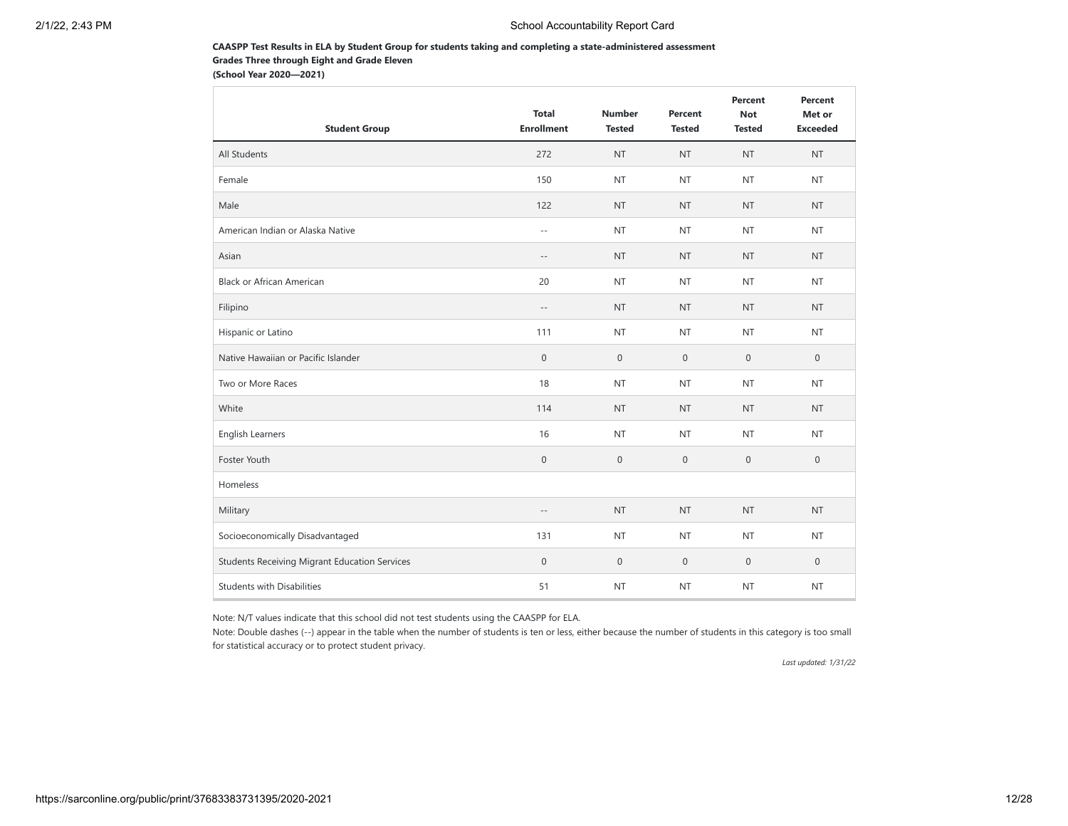## **CAASPP Test Results in ELA by Student Group for students taking and completing a state-administered assessment Grades Three through Eight and Grade Eleven**

**(School Year 2020—2021)**

| <b>Student Group</b>                                 | <b>Total</b><br><b>Enrollment</b> | <b>Number</b><br><b>Tested</b> | Percent<br><b>Tested</b> | Percent<br><b>Not</b><br><b>Tested</b> | Percent<br>Met or<br><b>Exceeded</b> |
|------------------------------------------------------|-----------------------------------|--------------------------------|--------------------------|----------------------------------------|--------------------------------------|
| All Students                                         | 272                               | <b>NT</b>                      | <b>NT</b>                | <b>NT</b>                              | <b>NT</b>                            |
| Female                                               | 150                               | <b>NT</b>                      | <b>NT</b>                | <b>NT</b>                              | <b>NT</b>                            |
| Male                                                 | 122                               | <b>NT</b>                      | <b>NT</b>                | <b>NT</b>                              | <b>NT</b>                            |
| American Indian or Alaska Native                     | $\sim$ $\sim$                     | <b>NT</b>                      | <b>NT</b>                | <b>NT</b>                              | <b>NT</b>                            |
| Asian                                                | $ -$                              | <b>NT</b>                      | <b>NT</b>                | <b>NT</b>                              | <b>NT</b>                            |
| Black or African American                            | 20                                | <b>NT</b>                      | <b>NT</b>                | <b>NT</b>                              | <b>NT</b>                            |
| Filipino                                             | $\overline{\phantom{a}}$ .        | <b>NT</b>                      | <b>NT</b>                | <b>NT</b>                              | <b>NT</b>                            |
| Hispanic or Latino                                   | 111                               | <b>NT</b>                      | <b>NT</b>                | <b>NT</b>                              | NT                                   |
| Native Hawaiian or Pacific Islander                  | $\mathsf{O}\xspace$               | $\mathbf{0}$                   | $\mathbf 0$              | $\mathbf{0}$                           | $\mathbf{0}$                         |
| Two or More Races                                    | 18                                | <b>NT</b>                      | <b>NT</b>                | <b>NT</b>                              | <b>NT</b>                            |
| White                                                | 114                               | <b>NT</b>                      | <b>NT</b>                | <b>NT</b>                              | <b>NT</b>                            |
| <b>English Learners</b>                              | 16                                | <b>NT</b>                      | <b>NT</b>                | <b>NT</b>                              | <b>NT</b>                            |
| Foster Youth                                         | $\boldsymbol{0}$                  | $\mathbf 0$                    | $\mathbf 0$              | $\mathbf{0}$                           | $\mathbf{0}$                         |
| Homeless                                             |                                   |                                |                          |                                        |                                      |
| Military                                             | $-\,-$                            | <b>NT</b>                      | <b>NT</b>                | <b>NT</b>                              | <b>NT</b>                            |
| Socioeconomically Disadvantaged                      | 131                               | <b>NT</b>                      | <b>NT</b>                | <b>NT</b>                              | <b>NT</b>                            |
| <b>Students Receiving Migrant Education Services</b> | $\mathsf{O}\xspace$               | $\mathbf 0$                    | $\mathbf 0$              | $\mathbf 0$                            | $\mathbf 0$                          |
| <b>Students with Disabilities</b>                    | 51                                | <b>NT</b>                      | <b>NT</b>                | <b>NT</b>                              | <b>NT</b>                            |

Note: N/T values indicate that this school did not test students using the CAASPP for ELA.

Note: Double dashes (--) appear in the table when the number of students is ten or less, either because the number of students in this category is too small for statistical accuracy or to protect student privacy.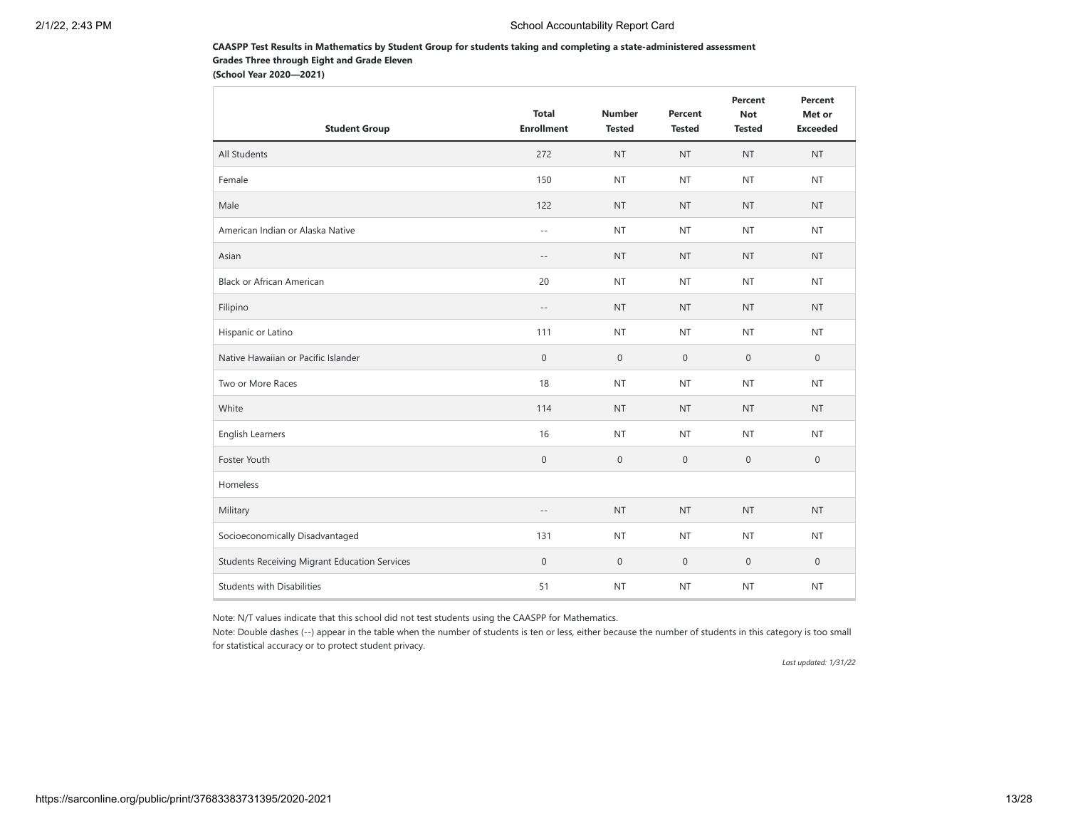### **CAASPP Test Results in Mathematics by Student Group for students taking and completing a state-administered assessment Grades Three through Eight and Grade Eleven**

**(School Year 2020—2021)**

| <b>Student Group</b>                                 | <b>Total</b><br><b>Enrollment</b> | <b>Number</b><br><b>Tested</b> | Percent<br><b>Tested</b> | Percent<br><b>Not</b><br><b>Tested</b> | Percent<br>Met or<br><b>Exceeded</b> |
|------------------------------------------------------|-----------------------------------|--------------------------------|--------------------------|----------------------------------------|--------------------------------------|
| All Students                                         | 272                               | <b>NT</b>                      | <b>NT</b>                | <b>NT</b>                              | <b>NT</b>                            |
| Female                                               | 150                               | <b>NT</b>                      | <b>NT</b>                | <b>NT</b>                              | <b>NT</b>                            |
| Male                                                 | 122                               | <b>NT</b>                      | <b>NT</b>                | <b>NT</b>                              | <b>NT</b>                            |
| American Indian or Alaska Native                     | $\sim$ $\sim$                     | <b>NT</b>                      | <b>NT</b>                | <b>NT</b>                              | <b>NT</b>                            |
| Asian                                                | $-$                               | <b>NT</b>                      | <b>NT</b>                | <b>NT</b>                              | <b>NT</b>                            |
| <b>Black or African American</b>                     | 20                                | <b>NT</b>                      | <b>NT</b>                | <b>NT</b>                              | <b>NT</b>                            |
| Filipino                                             | $\sim$ $-$                        | <b>NT</b>                      | <b>NT</b>                | <b>NT</b>                              | <b>NT</b>                            |
| Hispanic or Latino                                   | 111                               | <b>NT</b>                      | <b>NT</b>                | <b>NT</b>                              | <b>NT</b>                            |
| Native Hawaiian or Pacific Islander                  | $\mathsf{O}\xspace$               | $\mathbf 0$                    | $\mathbf 0$              | $\mathbf{0}$                           | $\mathbf{0}$                         |
| Two or More Races                                    | 18                                | <b>NT</b>                      | <b>NT</b>                | <b>NT</b>                              | <b>NT</b>                            |
| White                                                | 114                               | <b>NT</b>                      | <b>NT</b>                | <b>NT</b>                              | <b>NT</b>                            |
| <b>English Learners</b>                              | 16                                | <b>NT</b>                      | <b>NT</b>                | <b>NT</b>                              | <b>NT</b>                            |
| Foster Youth                                         | $\mathbf 0$                       | $\mathbf 0$                    | $\mathbf 0$              | $\mathbf 0$                            | $\mathbf 0$                          |
| Homeless                                             |                                   |                                |                          |                                        |                                      |
| Military                                             | $\sim$ $-$                        | <b>NT</b>                      | <b>NT</b>                | <b>NT</b>                              | <b>NT</b>                            |
| Socioeconomically Disadvantaged                      | 131                               | <b>NT</b>                      | <b>NT</b>                | <b>NT</b>                              | <b>NT</b>                            |
| <b>Students Receiving Migrant Education Services</b> | $\mathsf{O}\xspace$               | $\mathbf 0$                    | $\mathbf 0$              | $\mathbb O$                            | $\mathbf 0$                          |
| <b>Students with Disabilities</b>                    | 51                                | <b>NT</b>                      | <b>NT</b>                | <b>NT</b>                              | <b>NT</b>                            |

Note: N/T values indicate that this school did not test students using the CAASPP for Mathematics.

Note: Double dashes (--) appear in the table when the number of students is ten or less, either because the number of students in this category is too small for statistical accuracy or to protect student privacy.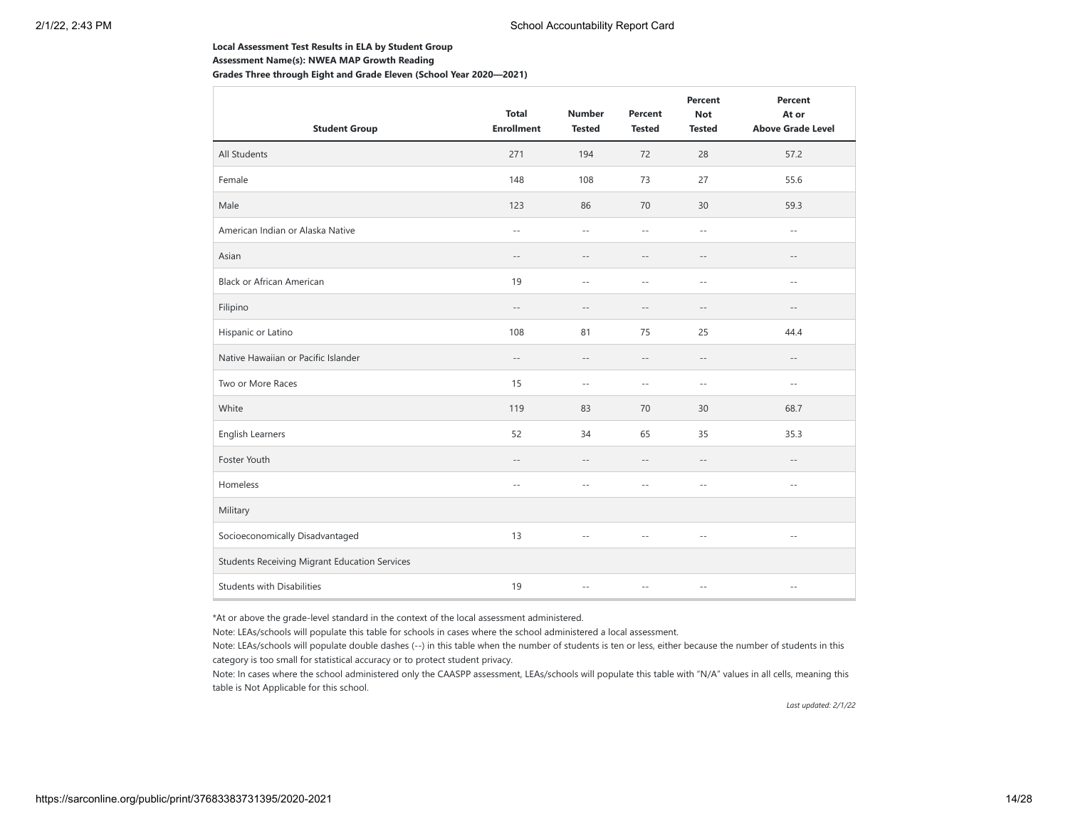#### **Local Assessment Test Results in ELA by Student Group**

**Assessment Name(s): NWEA MAP Growth Reading**

**Grades Three through Eight and Grade Eleven (School Year 2020—2021)**

| <b>Student Group</b>                                 | <b>Total</b><br><b>Enrollment</b> | <b>Number</b><br><b>Tested</b> | Percent<br><b>Tested</b> | Percent<br><b>Not</b><br><b>Tested</b> | Percent<br>At or<br><b>Above Grade Level</b> |
|------------------------------------------------------|-----------------------------------|--------------------------------|--------------------------|----------------------------------------|----------------------------------------------|
| All Students                                         | 271                               | 194                            | 72                       | 28                                     | 57.2                                         |
| Female                                               | 148                               | 108                            | 73                       | 27                                     | 55.6                                         |
| Male                                                 | 123                               | 86                             | 70                       | 30                                     | 59.3                                         |
| American Indian or Alaska Native                     | $-$                               | $\sim$ $\sim$                  | $\sim$ $\sim$            | $\sim$ $\sim$                          | $\sim$ $\sim$                                |
| Asian                                                | $-\,-$                            | $- -$                          | $-$                      | $-\,-$                                 | $-\,-$                                       |
| <b>Black or African American</b>                     | 19                                | $\sim$                         | $\sim$                   | $\sim$ $-$                             | $\sim$ $-$                                   |
| Filipino                                             | $-\,-$                            | $\sim$                         | $-$                      | $-\,-$                                 | $-\,-$                                       |
| Hispanic or Latino                                   | 108                               | 81                             | 75                       | 25                                     | 44.4                                         |
| Native Hawaiian or Pacific Islander                  | $-\,-$                            | $\sim$ $-$                     | $\qquad \qquad -$        | $-\,-$                                 | $\qquad \qquad -$                            |
| Two or More Races                                    | 15                                | $-$                            | $-$                      | $\sim$ $-$                             | $\sim$ $\sim$                                |
| White                                                | 119                               | 83                             | 70                       | 30                                     | 68.7                                         |
| English Learners                                     | 52                                | 34                             | 65                       | 35                                     | 35.3                                         |
| Foster Youth                                         | $-\,-$                            | $\sim$ $-$                     | $-$                      | $\sim$ $-$                             | $-\,-$                                       |
| Homeless                                             | $\sim$ $\sim$                     | $\sim$                         | $-$                      | $\sim$ $-$                             | $\sim$ $\sim$                                |
| Military                                             |                                   |                                |                          |                                        |                                              |
| Socioeconomically Disadvantaged                      | 13                                | $\sim$                         | $-$                      | $\sim$ $-$                             | $\qquad \qquad -$                            |
| <b>Students Receiving Migrant Education Services</b> |                                   |                                |                          |                                        |                                              |
| <b>Students with Disabilities</b>                    | 19                                | $\sim$ $\sim$                  | $\sim$                   | $\sim$ $-$                             | $ -$                                         |

\*At or above the grade-level standard in the context of the local assessment administered.

Note: LEAs/schools will populate this table for schools in cases where the school administered a local assessment.

Note: LEAs/schools will populate double dashes (--) in this table when the number of students is ten or less, either because the number of students in this category is too small for statistical accuracy or to protect student privacy.

Note: In cases where the school administered only the CAASPP assessment, LEAs/schools will populate this table with "N/A" values in all cells, meaning this table is Not Applicable for this school.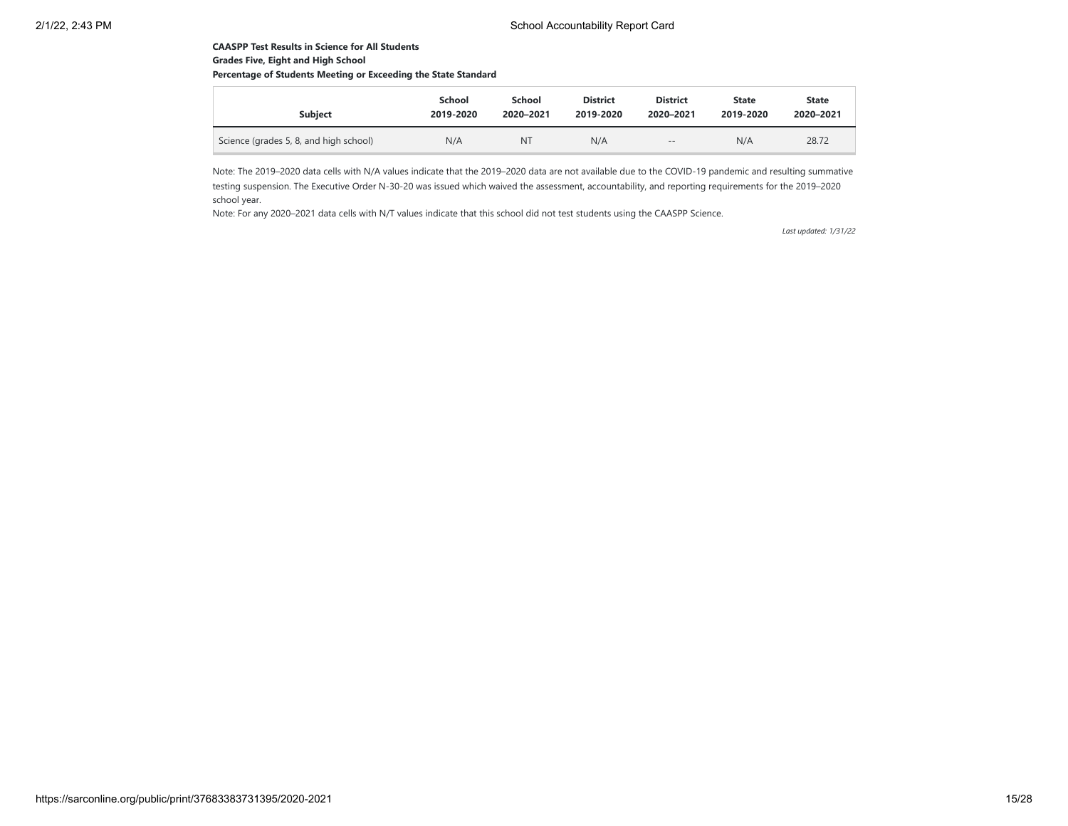## **CAASPP Test Results in Science for All Students Grades Five, Eight and High School**

## **Percentage of Students Meeting or Exceeding the State Standard**

| <b>Subiect</b>                         | School    | School    | <b>District</b> | <b>District</b> | <b>State</b> | <b>State</b> |
|----------------------------------------|-----------|-----------|-----------------|-----------------|--------------|--------------|
|                                        | 2019-2020 | 2020-2021 | 2019-2020       | 2020-2021       | 2019-2020    | 2020-2021    |
| Science (grades 5, 8, and high school) | N/A       | NT        | N/A             | $- -$           | N/A          | 28.72        |

Note: The 2019–2020 data cells with N/A values indicate that the 2019–2020 data are not available due to the COVID-19 pandemic and resulting summative testing suspension. The Executive Order N-30-20 was issued which waived the assessment, accountability, and reporting requirements for the 2019–2020 school year.

Note: For any 2020–2021 data cells with N/T values indicate that this school did not test students using the CAASPP Science.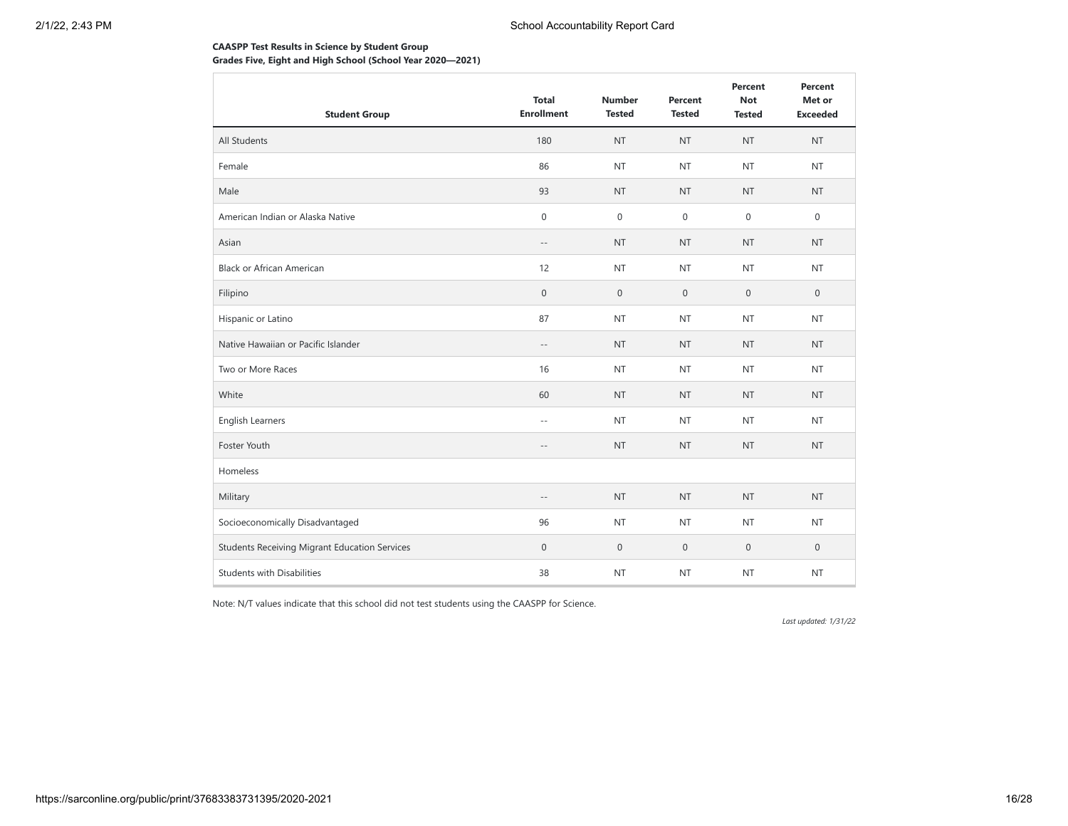## **CAASPP Test Results in Science by Student Group Grades Five, Eight and High School (School Year 2020—2021)**

| <b>Student Group</b>                                 | <b>Total</b><br><b>Enrollment</b> | <b>Number</b><br><b>Tested</b> | Percent<br><b>Tested</b> | Percent<br><b>Not</b><br><b>Tested</b> | Percent<br>Met or<br><b>Exceeded</b> |
|------------------------------------------------------|-----------------------------------|--------------------------------|--------------------------|----------------------------------------|--------------------------------------|
| All Students                                         | 180                               | <b>NT</b>                      | <b>NT</b>                | <b>NT</b>                              | <b>NT</b>                            |
| Female                                               | 86                                | <b>NT</b>                      | <b>NT</b>                | <b>NT</b>                              | <b>NT</b>                            |
| Male                                                 | 93                                | <b>NT</b>                      | <b>NT</b>                | <b>NT</b>                              | <b>NT</b>                            |
| American Indian or Alaska Native                     | $\boldsymbol{0}$                  | $\boldsymbol{0}$               | $\mathbf 0$              | $\mathbf{0}$                           | $\mathbf 0$                          |
| Asian                                                | $-\,-$                            | <b>NT</b>                      | <b>NT</b>                | <b>NT</b>                              | <b>NT</b>                            |
| <b>Black or African American</b>                     | 12                                | <b>NT</b>                      | <b>NT</b>                | <b>NT</b>                              | <b>NT</b>                            |
| Filipino                                             | $\boldsymbol{0}$                  | $\boldsymbol{0}$               | $\mathbf 0$              | $\mathbf 0$                            | $\mathbf 0$                          |
| Hispanic or Latino                                   | 87                                | <b>NT</b>                      | <b>NT</b>                | <b>NT</b>                              | <b>NT</b>                            |
| Native Hawaiian or Pacific Islander                  | $- -$                             | <b>NT</b>                      | <b>NT</b>                | <b>NT</b>                              | <b>NT</b>                            |
| Two or More Races                                    | 16                                | <b>NT</b>                      | <b>NT</b>                | <b>NT</b>                              | <b>NT</b>                            |
| White                                                | 60                                | <b>NT</b>                      | <b>NT</b>                | <b>NT</b>                              | <b>NT</b>                            |
| English Learners                                     | $- \, -$                          | <b>NT</b>                      | <b>NT</b>                | <b>NT</b>                              | <b>NT</b>                            |
| Foster Youth                                         | $\qquad \qquad -$                 | <b>NT</b>                      | <b>NT</b>                | <b>NT</b>                              | <b>NT</b>                            |
| Homeless                                             |                                   |                                |                          |                                        |                                      |
| Military                                             | $-$                               | <b>NT</b>                      | <b>NT</b>                | <b>NT</b>                              | <b>NT</b>                            |
| Socioeconomically Disadvantaged                      | 96                                | <b>NT</b>                      | <b>NT</b>                | <b>NT</b>                              | <b>NT</b>                            |
| <b>Students Receiving Migrant Education Services</b> | $\mathbf 0$                       | $\boldsymbol{0}$               | $\mathbf 0$              | $\mathbf 0$                            | $\mathbf 0$                          |
| <b>Students with Disabilities</b>                    | 38                                | <b>NT</b>                      | <b>NT</b>                | <b>NT</b>                              | <b>NT</b>                            |

Note: N/T values indicate that this school did not test students using the CAASPP for Science.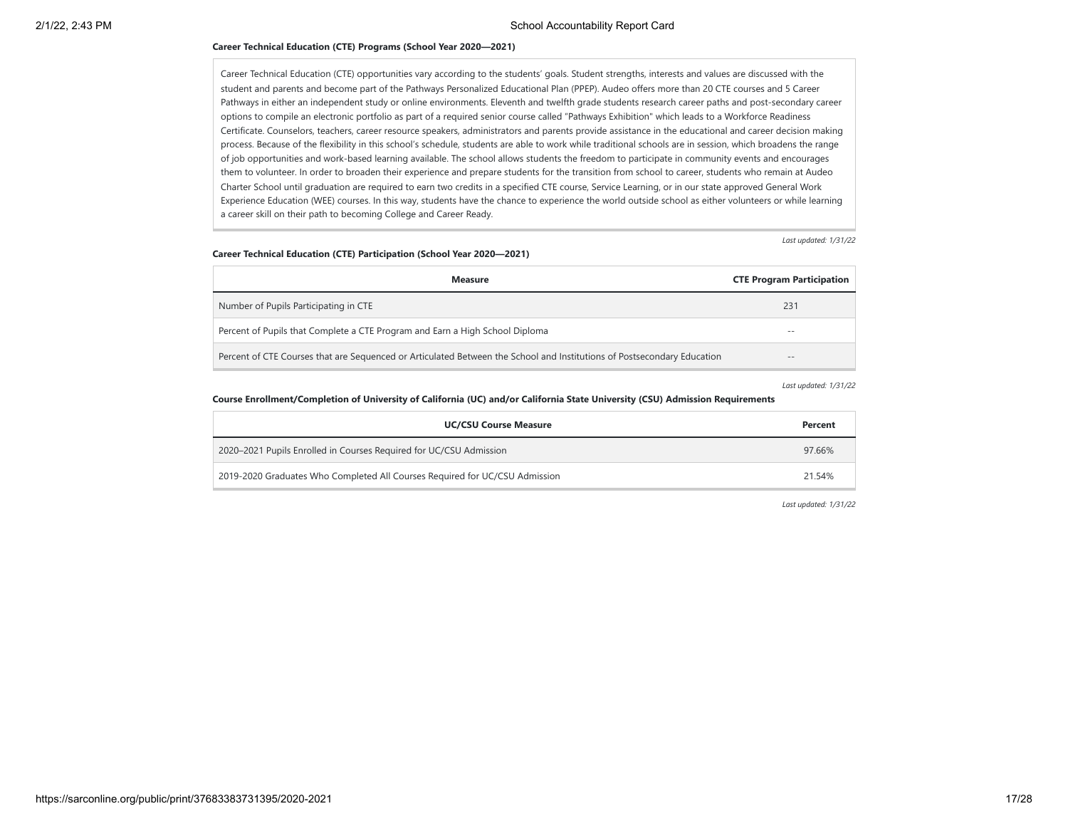#### **Career Technical Education (CTE) Programs (School Year 2020—2021)**

Career Technical Education (CTE) opportunities vary according to the students' goals. Student strengths, interests and values are discussed with the student and parents and become part of the Pathways Personalized Educational Plan (PPEP). Audeo offers more than 20 CTE courses and 5 Career Pathways in either an independent study or online environments. Eleventh and twelfth grade students research career paths and post-secondary career options to compile an electronic portfolio as part of a required senior course called "Pathways Exhibition" which leads to a Workforce Readiness Certificate. Counselors, teachers, career resource speakers, administrators and parents provide assistance in the educational and career decision making process. Because of the flexibility in this school's schedule, students are able to work while traditional schools are in session, which broadens the range of job opportunities and work-based learning available. The school allows students the freedom to participate in community events and encourages them to volunteer. In order to broaden their experience and prepare students for the transition from school to career, students who remain at Audeo Charter School until graduation are required to earn two credits in a specified CTE course, Service Learning, or in our state approved General Work Experience Education (WEE) courses. In this way, students have the chance to experience the world outside school as either volunteers or while learning a career skill on their path to becoming College and Career Ready.

*Last updated: 1/31/22*

#### **Career Technical Education (CTE) Participation (School Year 2020—2021)**

| <b>Measure</b>                                                                                                          | <b>CTE Program Participation</b> |
|-------------------------------------------------------------------------------------------------------------------------|----------------------------------|
| Number of Pupils Participating in CTE                                                                                   | 231                              |
| Percent of Pupils that Complete a CTE Program and Earn a High School Diploma                                            | --                               |
| Percent of CTE Courses that are Sequenced or Articulated Between the School and Institutions of Postsecondary Education | $- -$                            |

*Last updated: 1/31/22*

#### **Course Enrollment/Completion of University of California (UC) and/or California State University (CSU) Admission Requirements**

| <b>UC/CSU Course Measure</b>                                                | Percent |
|-----------------------------------------------------------------------------|---------|
| 2020–2021 Pupils Enrolled in Courses Required for UC/CSU Admission          | 97.66%  |
| 2019-2020 Graduates Who Completed All Courses Required for UC/CSU Admission | 21.54%  |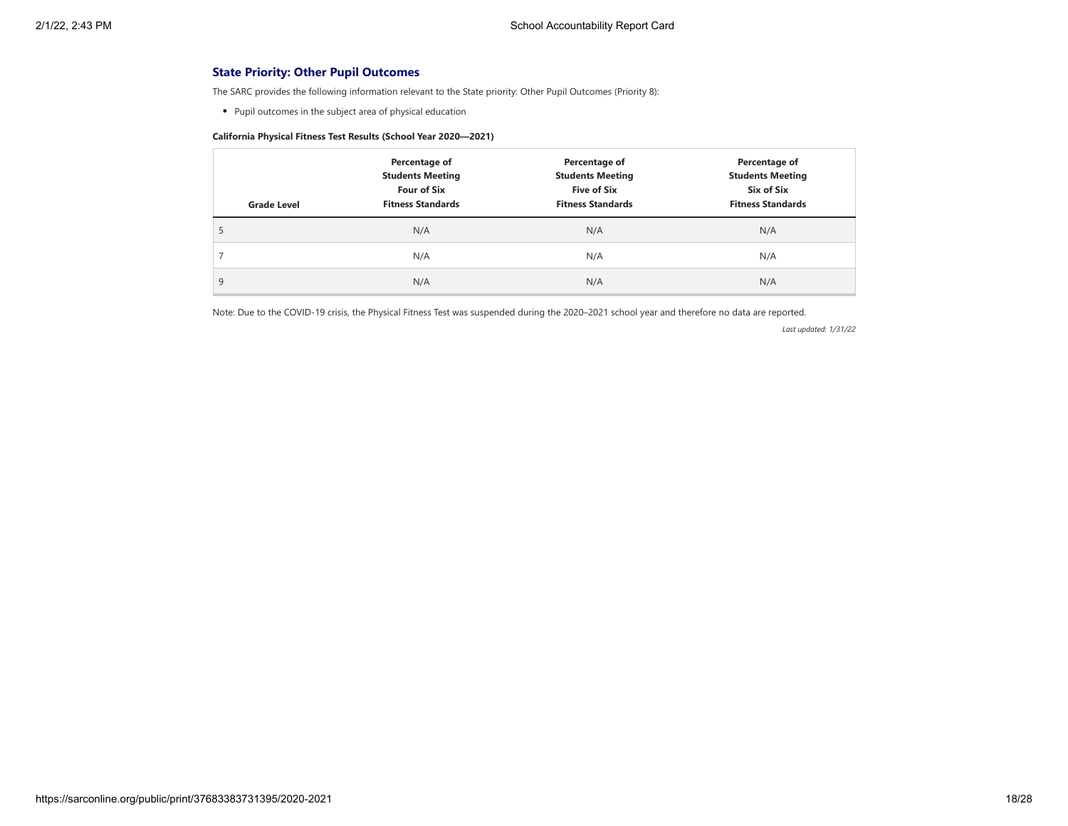## **State Priority: Other Pupil Outcomes**

The SARC provides the following information relevant to the State priority: Other Pupil Outcomes (Priority 8):

Pupil outcomes in the subject area of physical education

## **California Physical Fitness Test Results (School Year 2020—2021)**

| <b>Grade Level</b> | Percentage of<br><b>Students Meeting</b><br><b>Four of Six</b><br><b>Fitness Standards</b> | Percentage of<br><b>Students Meeting</b><br><b>Five of Six</b><br><b>Fitness Standards</b> | Percentage of<br><b>Students Meeting</b><br>Six of Six<br><b>Fitness Standards</b> |
|--------------------|--------------------------------------------------------------------------------------------|--------------------------------------------------------------------------------------------|------------------------------------------------------------------------------------|
| э                  | N/A                                                                                        | N/A                                                                                        | N/A                                                                                |
|                    | N/A                                                                                        | N/A                                                                                        | N/A                                                                                |
| 9                  | N/A                                                                                        | N/A                                                                                        | N/A                                                                                |

Note: Due to the COVID-19 crisis, the Physical Fitness Test was suspended during the 2020–2021 school year and therefore no data are reported.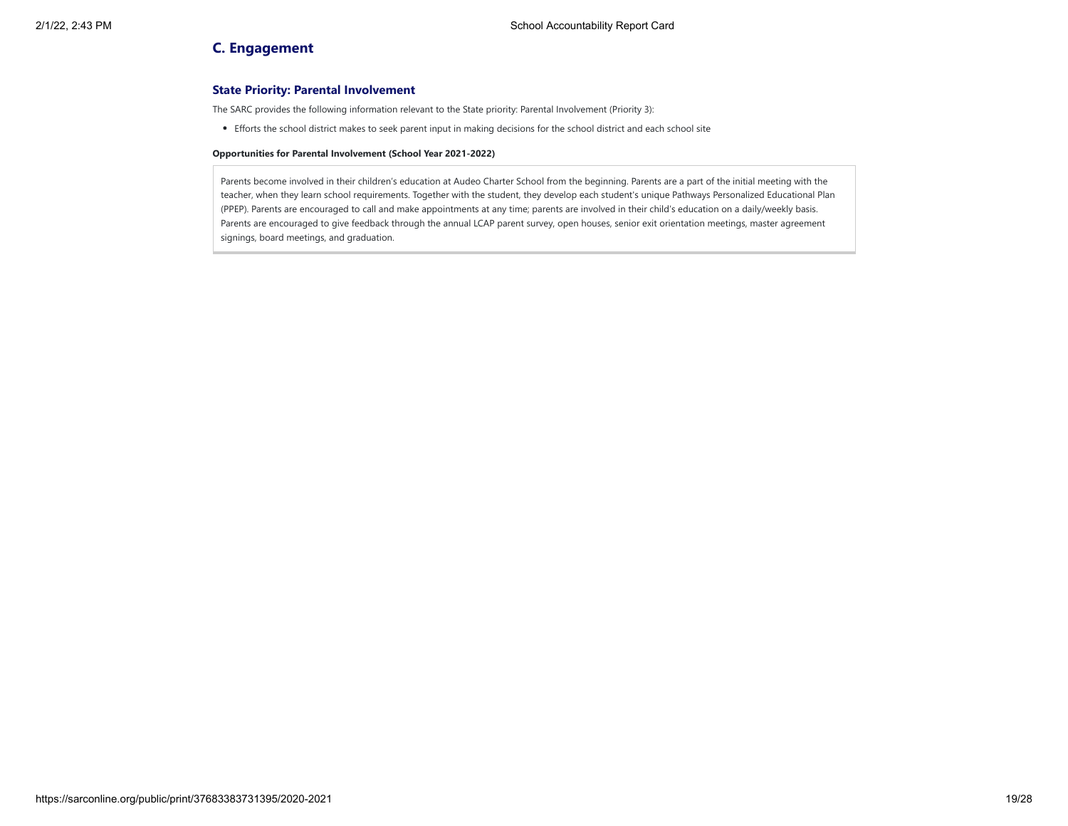## **C. Engagement**

## **State Priority: Parental Involvement**

The SARC provides the following information relevant to the State priority: Parental Involvement (Priority 3):

Efforts the school district makes to seek parent input in making decisions for the school district and each school site

#### **Opportunities for Parental Involvement (School Year 2021-2022)**

Parents become involved in their children's education at Audeo Charter School from the beginning. Parents are a part of the initial meeting with the teacher, when they learn school requirements. Together with the student, they develop each student's unique Pathways Personalized Educational Plan (PPEP). Parents are encouraged to call and make appointments at any time; parents are involved in their child's education on a daily/weekly basis. Parents are encouraged to give feedback through the annual LCAP parent survey, open houses, senior exit orientation meetings, master agreement signings, board meetings, and graduation.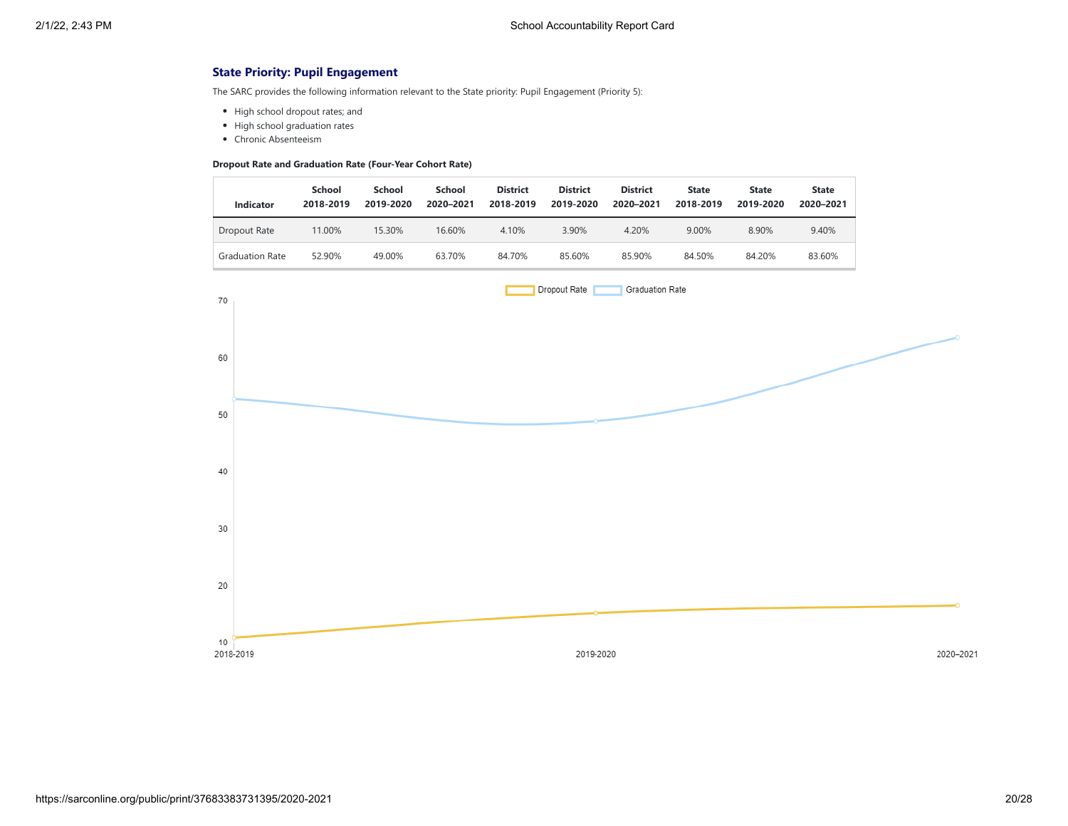## **State Priority: Pupil Engagement**

The SARC provides the following information relevant to the State priority: Pupil Engagement (Priority 5):

- High school dropout rates; and
- High school graduation rates
- Chronic Absenteeism

### **Dropout Rate and Graduation Rate (Four-Year Cohort Rate)**

| Indicator              | School<br>2018-2019 | School<br>2019-2020 | School<br>2020-2021 | <b>District</b><br>2018-2019 | <b>District</b><br>2019-2020 | <b>District</b><br>2020-2021 | <b>State</b><br>2018-2019 | <b>State</b><br>2019-2020 | <b>State</b><br>2020-2021 |
|------------------------|---------------------|---------------------|---------------------|------------------------------|------------------------------|------------------------------|---------------------------|---------------------------|---------------------------|
| Dropout Rate           | 11.00%              | 15.30%              | 16.60%              | 4.10%                        | 3.90%                        | 4.20%                        | 9.00%                     | 8.90%                     | 9.40%                     |
| <b>Graduation Rate</b> | 52.90%              | 49.00%              | 63.70%              | 84.70%                       | 85.60%                       | 85.90%                       | 84.50%                    | 84.20%                    | 83.60%                    |

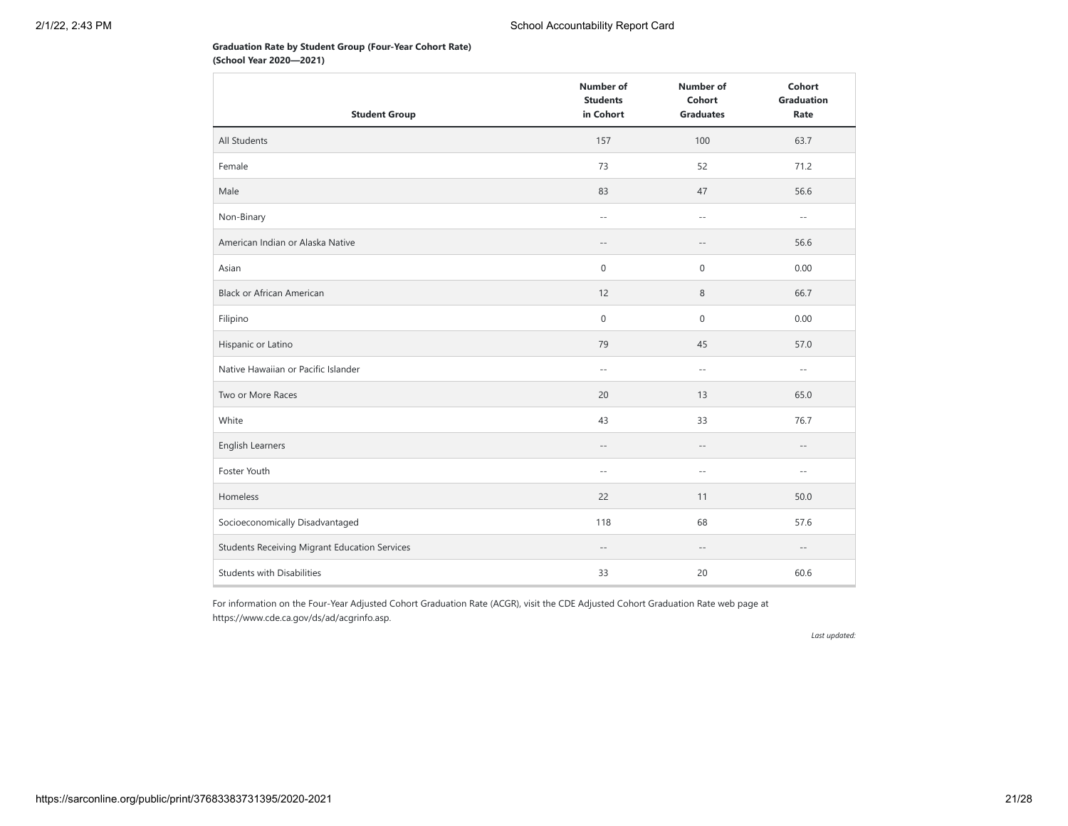## **Graduation Rate by Student Group (Four-Year Cohort Rate) (School Year 2020—2021)**

|                                               | <b>Number of</b><br><b>Students</b> | <b>Number of</b><br>Cohort | Cohort<br><b>Graduation</b> |
|-----------------------------------------------|-------------------------------------|----------------------------|-----------------------------|
| <b>Student Group</b>                          | in Cohort                           | <b>Graduates</b>           | Rate                        |
| All Students                                  | 157                                 | 100                        | 63.7                        |
| Female                                        | 73                                  | 52                         | 71.2                        |
| Male                                          | 83                                  | 47                         | 56.6                        |
| Non-Binary                                    | $\sim$ $\sim$                       | $\sim$ $-$                 | $\sim$ $-$                  |
| American Indian or Alaska Native              | $-\,-$                              | $-\,-$                     | 56.6                        |
| Asian                                         | 0                                   | $\boldsymbol{0}$           | 0.00                        |
| <b>Black or African American</b>              | 12                                  | 8                          | 66.7                        |
| Filipino                                      | $\mathsf{O}\xspace$                 | 0                          | 0.00                        |
| Hispanic or Latino                            | 79                                  | 45                         | 57.0                        |
| Native Hawaiian or Pacific Islander           | $ -$                                | $\sim$ $-$                 | $\sim$ $-$                  |
| Two or More Races                             | 20                                  | 13                         | 65.0                        |
| White                                         | 43                                  | 33                         | 76.7                        |
| English Learners                              | $- -$                               | $-\,-$                     | $-\,-$                      |
| Foster Youth                                  | $\overline{\phantom{a}}$ .          | $\sim$ $-$                 | $\sim$ $-$                  |
| Homeless                                      | 22                                  | 11                         | 50.0                        |
| Socioeconomically Disadvantaged               | 118                                 | 68                         | 57.6                        |
| Students Receiving Migrant Education Services | $-\,-$                              | $- -$                      | $\frac{1}{2}$               |
| <b>Students with Disabilities</b>             | 33                                  | 20                         | 60.6                        |

For information on the Four-Year Adjusted Cohort Graduation Rate (ACGR), visit the CDE Adjusted Cohort Graduation Rate web page at https://www.cde.ca.gov/ds/ad/acgrinfo.asp.

*Last updated:*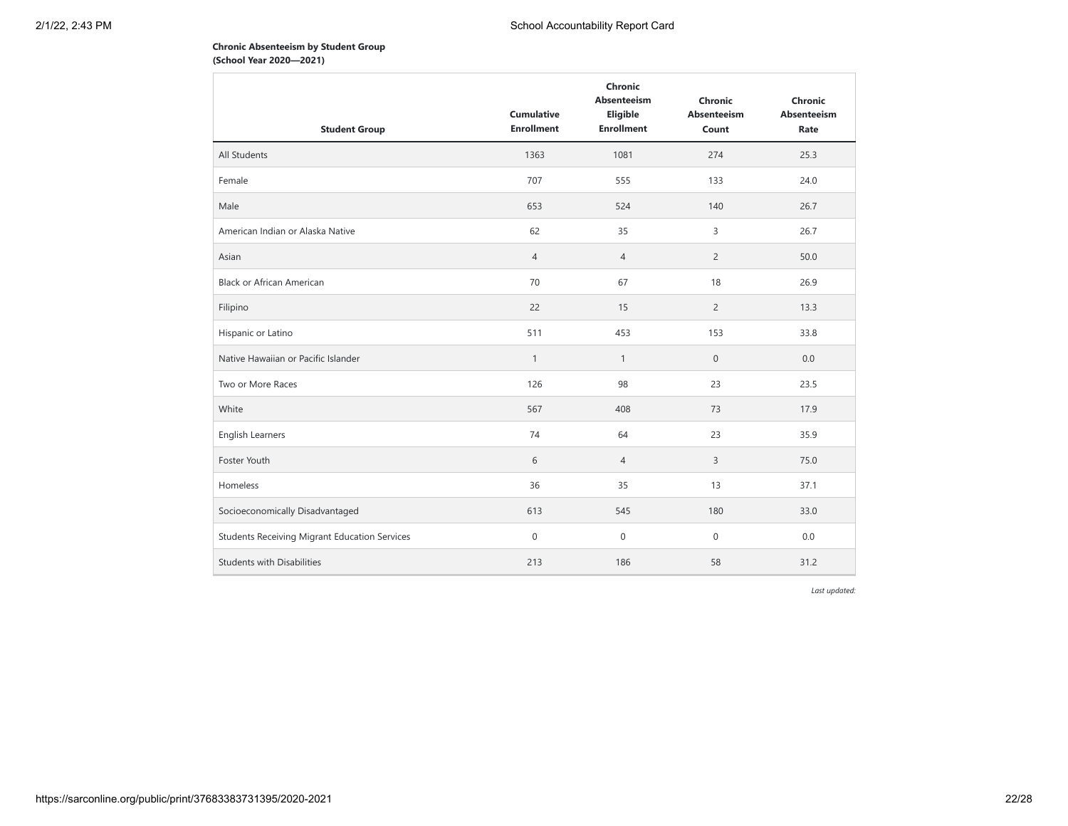## **Chronic Absenteeism by Student Group (School Year 2020—2021)**

| <b>Student Group</b>                          | <b>Cumulative</b><br><b>Enrollment</b> | Chronic<br><b>Absenteeism</b><br>Eligible<br><b>Enrollment</b> | Chronic<br><b>Absenteeism</b><br>Count | Chronic<br><b>Absenteeism</b><br>Rate |
|-----------------------------------------------|----------------------------------------|----------------------------------------------------------------|----------------------------------------|---------------------------------------|
| All Students                                  | 1363                                   | 1081                                                           | 274                                    | 25.3                                  |
| Female                                        | 707                                    | 555                                                            | 133                                    | 24.0                                  |
| Male                                          | 653                                    | 524                                                            | 140                                    | 26.7                                  |
| American Indian or Alaska Native              | 62                                     | 35                                                             | 3                                      | 26.7                                  |
| Asian                                         | $\overline{4}$                         | $\overline{4}$                                                 | $\overline{2}$                         | 50.0                                  |
| <b>Black or African American</b>              | 70                                     | 67                                                             | 18                                     | 26.9                                  |
| Filipino                                      | 22                                     | 15                                                             | $\overline{2}$                         | 13.3                                  |
| Hispanic or Latino                            | 511                                    | 453                                                            | 153                                    | 33.8                                  |
| Native Hawaiian or Pacific Islander           | $\mathbf{1}$                           | $\mathbf{1}$                                                   | $\boldsymbol{0}$                       | 0.0                                   |
| Two or More Races                             | 126                                    | 98                                                             | 23                                     | 23.5                                  |
| White                                         | 567                                    | 408                                                            | 73                                     | 17.9                                  |
| <b>English Learners</b>                       | 74                                     | 64                                                             | 23                                     | 35.9                                  |
| Foster Youth                                  | 6                                      | $\overline{4}$                                                 | 3                                      | 75.0                                  |
| Homeless                                      | 36                                     | 35                                                             | 13                                     | 37.1                                  |
| Socioeconomically Disadvantaged               | 613                                    | 545                                                            | 180                                    | 33.0                                  |
| Students Receiving Migrant Education Services | $\mathbf 0$                            | $\mathbf 0$                                                    | $\mathbf{0}$                           | 0.0                                   |
| <b>Students with Disabilities</b>             | 213                                    | 186                                                            | 58                                     | 31.2                                  |

*Last updated:*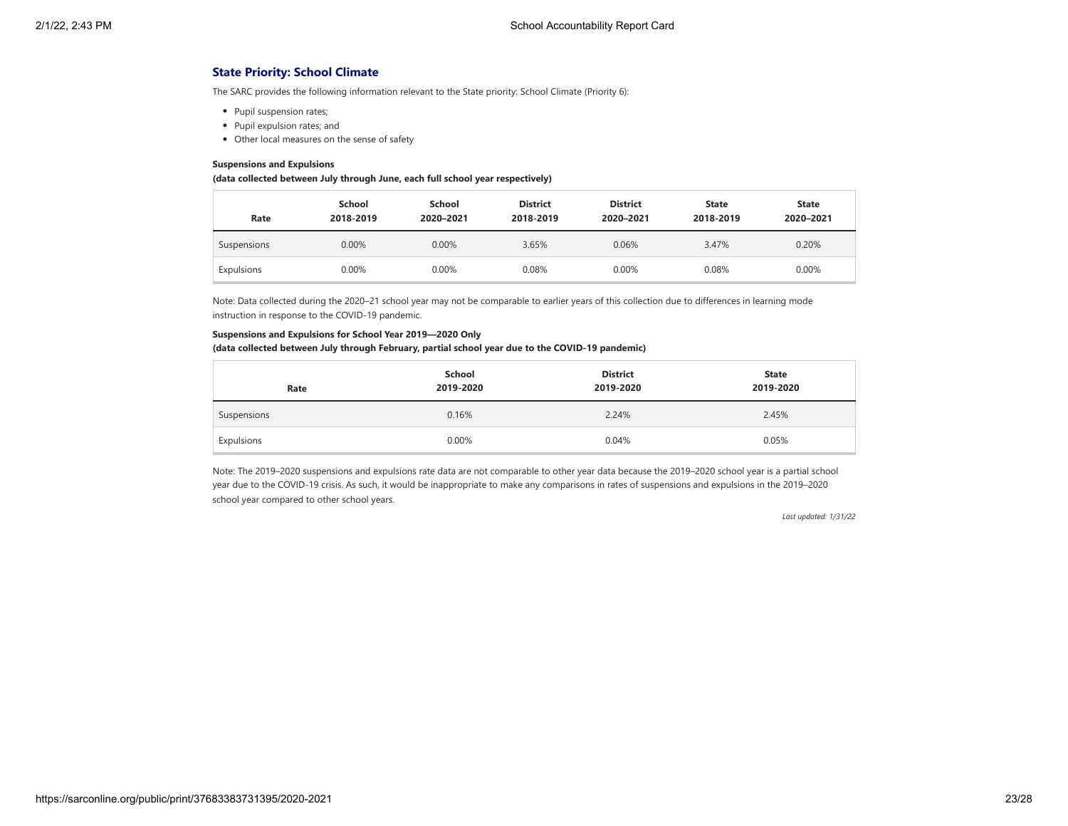## **State Priority: School Climate**

The SARC provides the following information relevant to the State priority: School Climate (Priority 6):

- Pupil suspension rates;
- Pupil expulsion rates; and
- Other local measures on the sense of safety

#### **Suspensions and Expulsions**

#### **(data collected between July through June, each full school year respectively)**

| Rate        | School<br>2018-2019 | School<br>2020-2021 | <b>District</b><br>2018-2019 | <b>District</b><br>2020-2021 | <b>State</b><br>2018-2019 | <b>State</b><br>2020-2021 |
|-------------|---------------------|---------------------|------------------------------|------------------------------|---------------------------|---------------------------|
| Suspensions | 0.00%               | 0.00%               | 3.65%                        | 0.06%                        | 3.47%                     | 0.20%                     |
| Expulsions  | 0.00%               | 0.00%               | 0.08%                        | 0.00%                        | 0.08%                     | 0.00%                     |

Note: Data collected during the 2020–21 school year may not be comparable to earlier years of this collection due to differences in learning mode instruction in response to the COVID-19 pandemic.

#### **Suspensions and Expulsions for School Year 2019—2020 Only**

#### **(data collected between July through February, partial school year due to the COVID-19 pandemic)**

| Rate        | School<br>2019-2020 | <b>District</b><br>2019-2020 | <b>State</b><br>2019-2020 |
|-------------|---------------------|------------------------------|---------------------------|
| Suspensions | 0.16%               | 2.24%                        | 2.45%                     |
| Expulsions  | 0.00%               | 0.04%                        | 0.05%                     |

Note: The 2019–2020 suspensions and expulsions rate data are not comparable to other year data because the 2019–2020 school year is a partial school year due to the COVID-19 crisis. As such, it would be inappropriate to make any comparisons in rates of suspensions and expulsions in the 2019–2020 school year compared to other school years.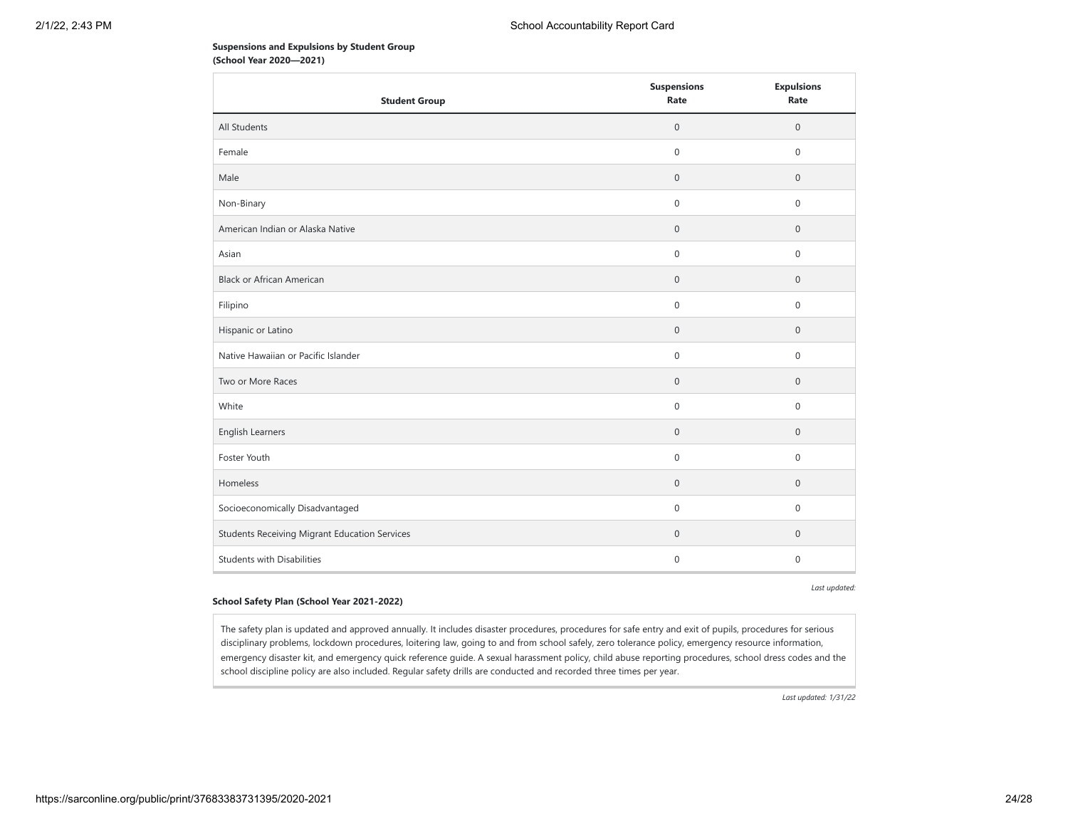## **Suspensions and Expulsions by Student Group (School Year 2020—2021)**

| <b>Student Group</b>                                 | <b>Suspensions</b><br>Rate | <b>Expulsions</b><br>Rate |
|------------------------------------------------------|----------------------------|---------------------------|
| All Students                                         | $\boldsymbol{0}$           | $\mathbf 0$               |
| Female                                               | $\mathbf 0$                | $\mathbf 0$               |
| Male                                                 | $\mathbf{0}$               | $\mathbf{0}$              |
| Non-Binary                                           | $\mathbf 0$                | $\mathbf{0}$              |
| American Indian or Alaska Native                     | $\boldsymbol{0}$           | $\mathbf 0$               |
| Asian                                                | $\mathbf 0$                | $\mathsf{O}\xspace$       |
| <b>Black or African American</b>                     | $\mathbf 0$                | $\mathbf 0$               |
| Filipino                                             | $\mathbf 0$                | $\mathbf 0$               |
| Hispanic or Latino                                   | $\mathbb O$                | $\mathbf{0}$              |
| Native Hawaiian or Pacific Islander                  | $\mathsf{O}\xspace$        | $\mathsf{O}\xspace$       |
| Two or More Races                                    | $\mathsf{O}\xspace$        | $\mathbb O$               |
| White                                                | $\boldsymbol{0}$           | $\mathbf 0$               |
| English Learners                                     | $\mathbf{0}$               | $\mathbf{0}$              |
| Foster Youth                                         | $\mathbf{0}$               | $\mathbf 0$               |
| Homeless                                             | $\mathbf 0$                | $\mathbf 0$               |
| Socioeconomically Disadvantaged                      | $\boldsymbol{0}$           | $\mathsf{O}\xspace$       |
| <b>Students Receiving Migrant Education Services</b> | $\boldsymbol{0}$           | $\mathbf 0$               |
| <b>Students with Disabilities</b>                    | $\mathbf{0}$               | $\mathbf{0}$              |

*Last updated:*

#### **School Safety Plan (School Year 2021-2022)**

The safety plan is updated and approved annually. It includes disaster procedures, procedures for safe entry and exit of pupils, procedures for serious disciplinary problems, lockdown procedures, loitering law, going to and from school safely, zero tolerance policy, emergency resource information, emergency disaster kit, and emergency quick reference guide. A sexual harassment policy, child abuse reporting procedures, school dress codes and the school discipline policy are also included. Regular safety drills are conducted and recorded three times per year.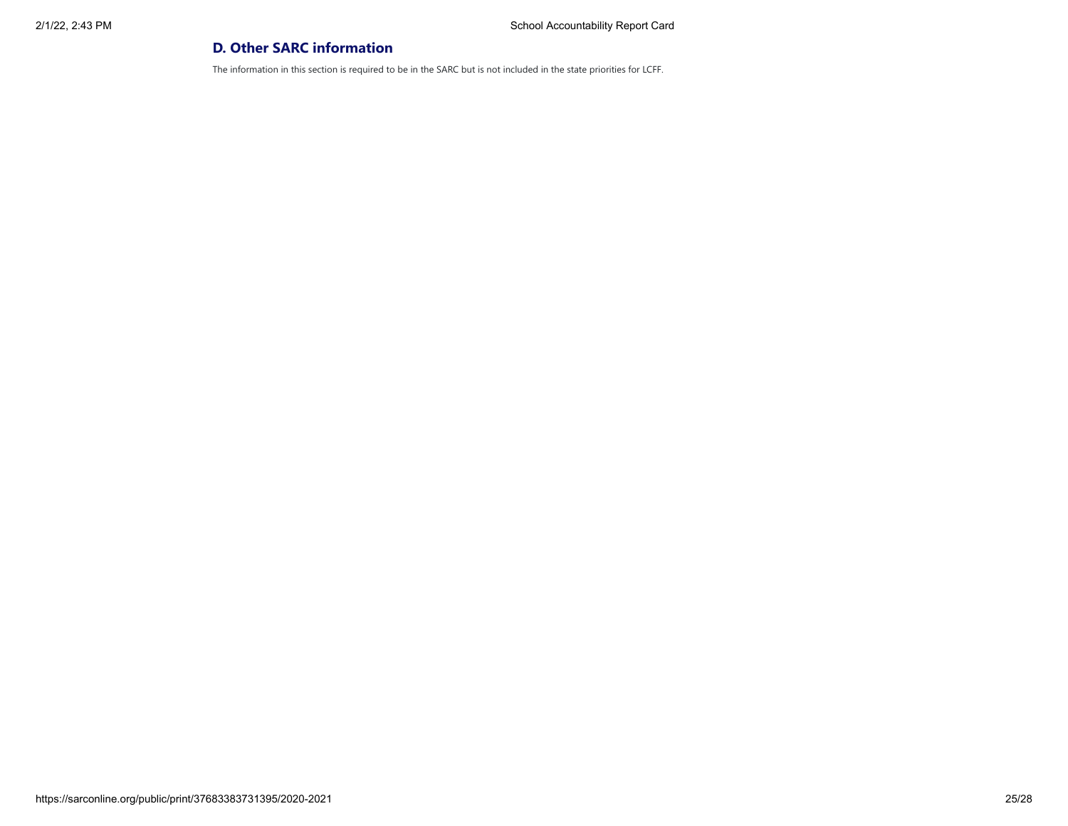# **D. Other SARC information**

The information in this section is required to be in the SARC but is not included in the state priorities for LCFF.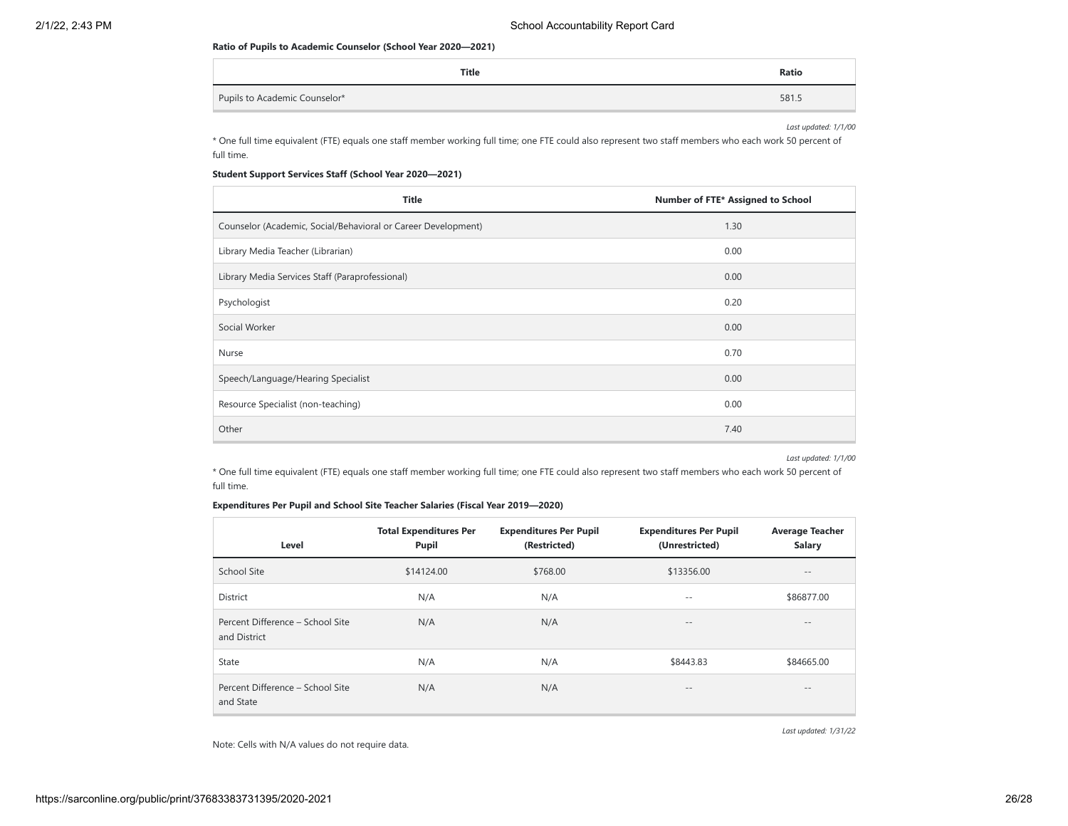#### **Ratio of Pupils to Academic Counselor (School Year 2020—2021)**

| Title                         | Ratio |
|-------------------------------|-------|
| Pupils to Academic Counselor* | 581.  |

*Last updated: 1/1/00*

\* One full time equivalent (FTE) equals one staff member working full time; one FTE could also represent two staff members who each work 50 percent of full time.

## **Student Support Services Staff (School Year 2020—2021)**

| <b>Title</b>                                                  | Number of FTE* Assigned to School |  |
|---------------------------------------------------------------|-----------------------------------|--|
| Counselor (Academic, Social/Behavioral or Career Development) | 1.30                              |  |
| Library Media Teacher (Librarian)                             | 0.00                              |  |
| Library Media Services Staff (Paraprofessional)               | 0.00                              |  |
| Psychologist                                                  | 0.20                              |  |
| Social Worker                                                 | 0.00                              |  |
| Nurse                                                         | 0.70                              |  |
| Speech/Language/Hearing Specialist                            | 0.00                              |  |
| Resource Specialist (non-teaching)                            | 0.00                              |  |
| Other                                                         | 7.40                              |  |

*Last updated: 1/1/00*

\* One full time equivalent (FTE) equals one staff member working full time; one FTE could also represent two staff members who each work 50 percent of full time.

## **Expenditures Per Pupil and School Site Teacher Salaries (Fiscal Year 2019—2020)**

| Level                                            | <b>Total Expenditures Per</b><br>Pupil | <b>Expenditures Per Pupil</b><br>(Restricted) | <b>Expenditures Per Pupil</b><br>(Unrestricted) | <b>Average Teacher</b><br><b>Salary</b> |
|--------------------------------------------------|----------------------------------------|-----------------------------------------------|-------------------------------------------------|-----------------------------------------|
| School Site                                      | \$14124.00                             | \$768.00                                      | \$13356.00                                      | $- -$                                   |
| District                                         | N/A                                    | N/A                                           | $- -$                                           | \$86877.00                              |
| Percent Difference - School Site<br>and District | N/A                                    | N/A                                           | $\qquad \qquad -$                               | $- -$                                   |
| State                                            | N/A                                    | N/A                                           | \$8443.83                                       | \$84665.00                              |
| Percent Difference - School Site<br>and State    | N/A                                    | N/A                                           | $\qquad \qquad -$                               | $- -$                                   |

*Last updated: 1/31/22*

Note: Cells with N/A values do not require data.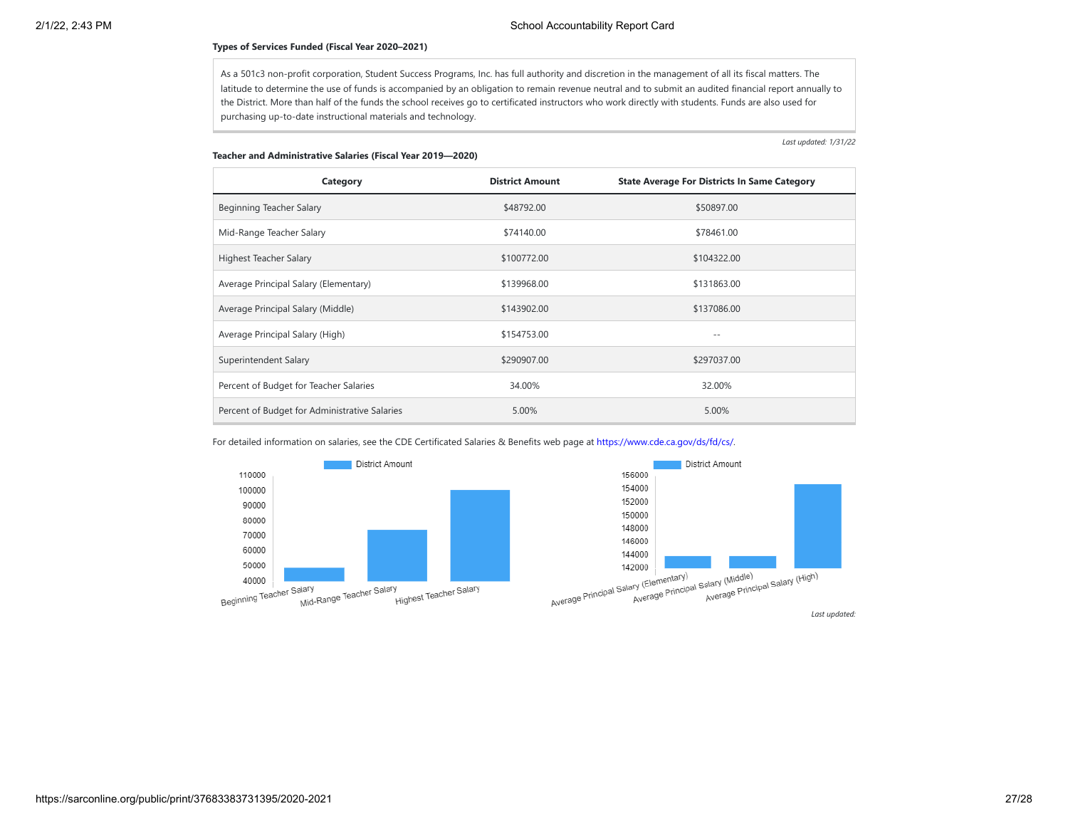#### **Types of Services Funded (Fiscal Year 2020–2021)**

As a 501c3 non-profit corporation, Student Success Programs, Inc. has full authority and discretion in the management of all its fiscal matters. The latitude to determine the use of funds is accompanied by an obligation to remain revenue neutral and to submit an audited financial report annually to the District. More than half of the funds the school receives go to certificated instructors who work directly with students. Funds are also used for purchasing up-to-date instructional materials and technology.

*Last updated: 1/31/22*

#### **Teacher and Administrative Salaries (Fiscal Year 2019—2020)**

| Category                                      | <b>District Amount</b> | <b>State Average For Districts In Same Category</b> |
|-----------------------------------------------|------------------------|-----------------------------------------------------|
| Beginning Teacher Salary                      | \$48792.00             | \$50897.00                                          |
| Mid-Range Teacher Salary                      | \$74140.00             | \$78461.00                                          |
| Highest Teacher Salary                        | \$100772.00            | \$104322.00                                         |
| Average Principal Salary (Elementary)         | \$139968.00            | \$131863.00                                         |
| Average Principal Salary (Middle)             | \$143902.00            | \$137086.00                                         |
| Average Principal Salary (High)               | \$154753.00            | $- -$                                               |
| Superintendent Salary                         | \$290907.00            | \$297037.00                                         |
| Percent of Budget for Teacher Salaries        | 34.00%                 | 32.00%                                              |
| Percent of Budget for Administrative Salaries | 5.00%                  | 5.00%                                               |

For detailed information on salaries, see the CDE Certificated Salaries & Benefits web page at [https://www.cde.ca.gov/ds/fd/cs/.](https://www.cde.ca.gov/ds/fd/cs/)